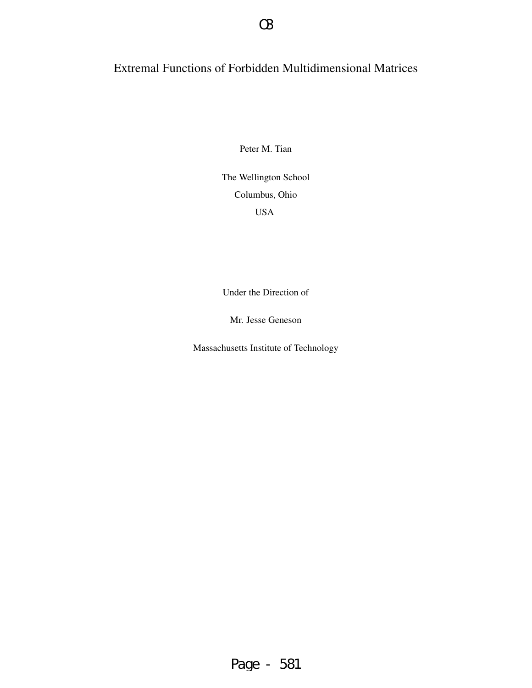# Extremal Functions of Forbidden Multidimensional Matrices

Peter M. Tian

The Wellington School Columbus, Ohio USA

Under the Direction of

Mr. Jesse Geneson

Massachusetts Institute of Technology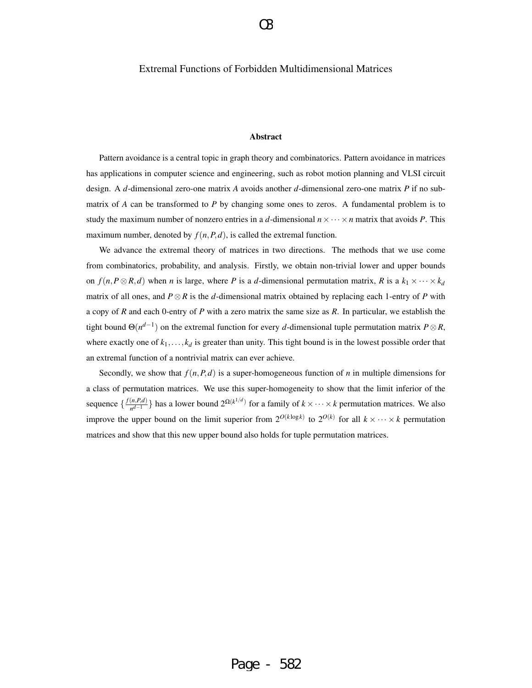### Extremal Functions of Forbidden Multidimensional Matrices

#### Abstract

Pattern avoidance is a central topic in graph theory and combinatorics. Pattern avoidance in matrices has applications in computer science and engineering, such as robot motion planning and VLSI circuit design. A *d*-dimensional zero-one matrix *A* avoids another *d*-dimensional zero-one matrix *P* if no submatrix of *A* can be transformed to *P* by changing some ones to zeros. A fundamental problem is to study the maximum number of nonzero entries in a *d*-dimensional  $n \times \cdots \times n$  matrix that avoids *P*. This maximum number, denoted by  $f(n, P, d)$ , is called the extremal function.

We advance the extremal theory of matrices in two directions. The methods that we use come from combinatorics, probability, and analysis. Firstly, we obtain non-trivial lower and upper bounds on  $f(n, P \otimes R, d)$  when *n* is large, where *P* is a *d*-dimensional permutation matrix, *R* is a  $k_1 \times \cdots \times k_d$ matrix of all ones, and *P*⊗*R* is the *d*-dimensional matrix obtained by replacing each 1-entry of *P* with a copy of *R* and each 0-entry of *P* with a zero matrix the same size as *R*. In particular, we establish the tight bound  $\Theta(n^{d-1})$  on the extremal function for every *d*-dimensional tuple permutation matrix  $P \otimes R$ , where exactly one of  $k_1, \ldots, k_d$  is greater than unity. This tight bound is in the lowest possible order that an extremal function of a nontrivial matrix can ever achieve.

Secondly, we show that  $f(n, P, d)$  is a super-homogeneous function of *n* in multiple dimensions for a class of permutation matrices. We use this super-homogeneity to show that the limit inferior of the sequence  $\frac{f(n, P, d)}{nd-1}$  $\frac{(n, P, d)}{n^{d-1}}$ } has a lower bound  $2^{\Omega(k^{1/d})}$  for a family of *k* × ··· × *k* permutation matrices. We also improve the upper bound on the limit superior from  $2^{O(k \log k)}$  to  $2^{O(k)}$  for all  $k \times \cdots \times k$  permutation matrices and show that this new upper bound also holds for tuple permutation matrices.

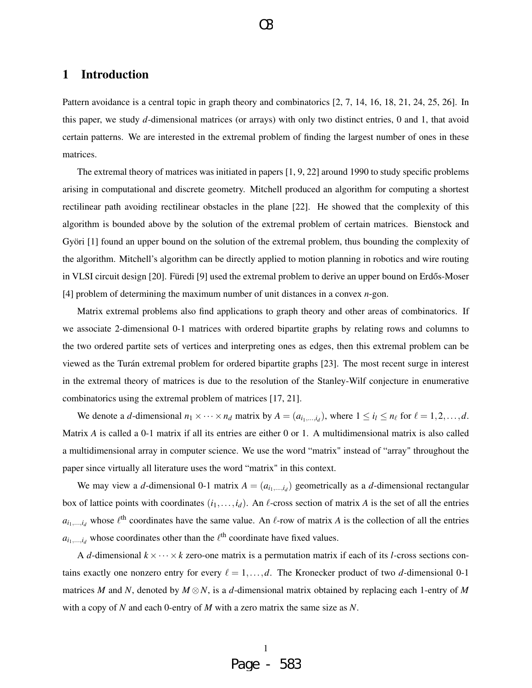## 1 Introduction

Pattern avoidance is a central topic in graph theory and combinatorics [2, 7, 14, 16, 18, 21, 24, 25, 26]. In this paper, we study *d*-dimensional matrices (or arrays) with only two distinct entries, 0 and 1, that avoid certain patterns. We are interested in the extremal problem of finding the largest number of ones in these matrices.

The extremal theory of matrices was initiated in papers [1, 9, 22] around 1990 to study specific problems arising in computational and discrete geometry. Mitchell produced an algorithm for computing a shortest rectilinear path avoiding rectilinear obstacles in the plane [22]. He showed that the complexity of this algorithm is bounded above by the solution of the extremal problem of certain matrices. Bienstock and Györi [1] found an upper bound on the solution of the extremal problem, thus bounding the complexity of the algorithm. Mitchell's algorithm can be directly applied to motion planning in robotics and wire routing in VLSI circuit design [20]. Füredi [9] used the extremal problem to derive an upper bound on Erdős-Moser [4] problem of determining the maximum number of unit distances in a convex *n*-gon.

Matrix extremal problems also find applications to graph theory and other areas of combinatorics. If we associate 2-dimensional 0-1 matrices with ordered bipartite graphs by relating rows and columns to the two ordered partite sets of vertices and interpreting ones as edges, then this extremal problem can be viewed as the Turán extremal problem for ordered bipartite graphs [23]. The most recent surge in interest in the extremal theory of matrices is due to the resolution of the Stanley-Wilf conjecture in enumerative combinatorics using the extremal problem of matrices [17, 21].

We denote a *d*-dimensional  $n_1 \times \cdots \times n_d$  matrix by  $A = (a_{i_1,\dots,i_d})$ , where  $1 \le i_l \le n_\ell$  for  $\ell = 1,2,\dots,d$ . Matrix *A* is called a 0-1 matrix if all its entries are either 0 or 1. A multidimensional matrix is also called a multidimensional array in computer science. We use the word "matrix" instead of "array" throughout the paper since virtually all literature uses the word "matrix" in this context.

We may view a *d*-dimensional 0-1 matrix  $A = (a_{i_1,...,i_d})$  geometrically as a *d*-dimensional rectangular box of lattice points with coordinates  $(i_1,...,i_d)$ . An  $\ell$ -cross section of matrix *A* is the set of all the entries  $a_{i_1,...,i_d}$  whose  $\ell^{\text{th}}$  coordinates have the same value. An  $\ell$ -row of matrix *A* is the collection of all the entries  $a_{i_1,\dots,i_d}$  whose coordinates other than the  $\ell^{\text{th}}$  coordinate have fixed values.

A *d*-dimensional  $k \times \cdots \times k$  zero-one matrix is a permutation matrix if each of its *l*-cross sections contains exactly one nonzero entry for every  $\ell = 1, \ldots, d$ . The Kronecker product of two *d*-dimensional 0-1 matrices *M* and *N*, denoted by  $M \otimes N$ , is a *d*-dimensional matrix obtained by replacing each 1-entry of *M* with a copy of *N* and each 0-entry of *M* with a zero matrix the same size as *N*.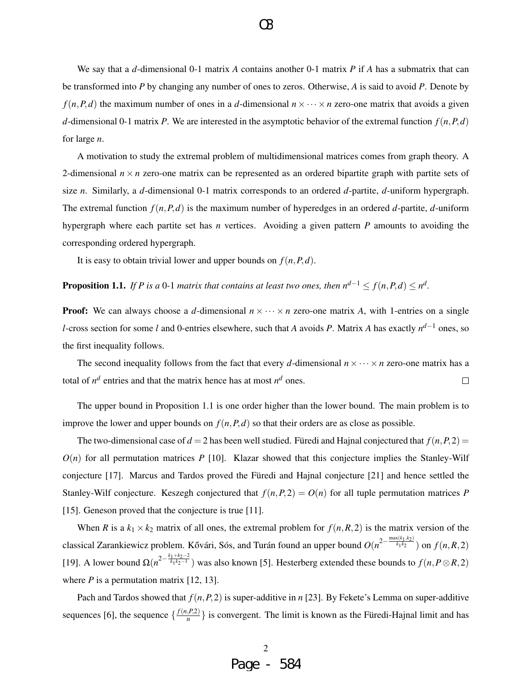We say that a *d*-dimensional 0-1 matrix *A* contains another 0-1 matrix *P* if *A* has a submatrix that can be transformed into *P* by changing any number of ones to zeros. Otherwise, *A* is said to avoid *P*. Denote by  $f(n, P, d)$  the maximum number of ones in a *d*-dimensional  $n \times \cdots \times n$  zero-one matrix that avoids a given *d*-dimensional 0-1 matrix *P*. We are interested in the asymptotic behavior of the extremal function  $f(n, P, d)$ for large *n*.

A motivation to study the extremal problem of multidimensional matrices comes from graph theory. A 2-dimensional  $n \times n$  zero-one matrix can be represented as an ordered bipartite graph with partite sets of size *n*. Similarly, a *d*-dimensional 0-1 matrix corresponds to an ordered *d*-partite, *d*-uniform hypergraph. The extremal function  $f(n, P, d)$  is the maximum number of hyperedges in an ordered *d*-partite, *d*-uniform hypergraph where each partite set has *n* vertices. Avoiding a given pattern *P* amounts to avoiding the corresponding ordered hypergraph.

It is easy to obtain trivial lower and upper bounds on  $f(n, P, d)$ .

**Proposition 1.1.** If P is a 0-1 matrix that contains at least two ones, then  $n^{d-1} \le f(n, P, d) \le n^d$ .

**Proof:** We can always choose a *d*-dimensional  $n \times \cdots \times n$  zero-one matrix *A*, with 1-entries on a single *l*-cross section for some *l* and 0-entries elsewhere, such that *A* avoids *P*. Matrix *A* has exactly *n <sup>d</sup>*−<sup>1</sup> ones, so the first inequality follows.

The second inequality follows from the fact that every *d*-dimensional  $n \times \cdots \times n$  zero-one matrix has a total of  $n^d$  entries and that the matrix hence has at most  $n^d$  ones.  $\Box$ 

The upper bound in Proposition 1.1 is one order higher than the lower bound. The main problem is to improve the lower and upper bounds on  $f(n, P, d)$  so that their orders are as close as possible.

The two-dimensional case of  $d = 2$  has been well studied. Füredi and Hajnal conjectured that  $f(n, P, 2) =$  $O(n)$  for all permutation matrices *P* [10]. Klazar showed that this conjecture implies the Stanley-Wilf conjecture [17]. Marcus and Tardos proved the Füredi and Hajnal conjecture [21] and hence settled the Stanley-Wilf conjecture. Keszegh conjectured that  $f(n, P, 2) = O(n)$  for all tuple permutation matrices *P* [15]. Geneson proved that the conjecture is true [11].

When *R* is a  $k_1 \times k_2$  matrix of all ones, the extremal problem for  $f(n, R, 2)$  is the matrix version of the  $k$ classical Zarankiewicz problem. Kővári, Sós, and Turán found an upper bound  $O(n^{2-\frac{\max(k_1,k_2)}{k_1k_2}})$  on  $f(n, R, 2)$ [19]. A lower bound  $\Omega(n^{2-\frac{k_1+k_2-2}{k_1k_2-1}})$  was also known [5]. Hesterberg extended these bounds to  $f(n, P \otimes R, 2)$ where  $P$  is a permutation matrix  $[12, 13]$ .

Pach and Tardos showed that *f*(*n*,*P*,2) is super-additive in *n* [23]. By Fekete's Lemma on super-additive sequences [6], the sequence  $\left\{\frac{f(n, P, 2)}{n}\right\}$  $\left\{\frac{f(1)}{n}\right\}$  is convergent. The limit is known as the Füredi-Hajnal limit and has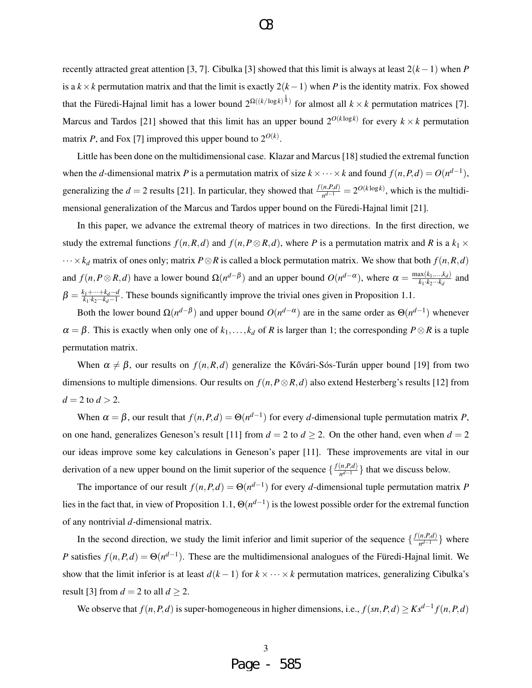recently attracted great attention [3, 7]. Cibulka [3] showed that this limit is always at least 2(*k*−1) when *P* is a  $k \times k$  permutation matrix and that the limit is exactly  $2(k-1)$  when *P* is the identity matrix. Fox showed that the Füredi-Hajnal limit has a lower bound  $2^{\Omega((k/\log k)^{\frac{1}{4}})}$  for almost all  $k \times k$  permutation matrices [7]. Marcus and Tardos [21] showed that this limit has an upper bound  $2^{O(k \log k)}$  for every  $k \times k$  permutation matrix *P*, and Fox [7] improved this upper bound to  $2^{O(k)}$ .

Little has been done on the multidimensional case. Klazar and Marcus [18] studied the extremal function when the *d*-dimensional matrix *P* is a permutation matrix of size  $k \times \cdots \times k$  and found  $f(n, P, d) = O(n^{d-1})$ , generalizing the  $d = 2$  results [21]. In particular, they showed that  $\frac{f(n, P, d)}{n^{d-1}} = 2^{O(k \log k)}$ , which is the multidimensional generalization of the Marcus and Tardos upper bound on the Füredi-Hajnal limit [21].

In this paper, we advance the extremal theory of matrices in two directions. In the first direction, we study the extremal functions  $f(n, R, d)$  and  $f(n, P \otimes R, d)$ , where *P* is a permutation matrix and *R* is a  $k_1 \times$ ···×*k<sup>d</sup>* matrix of ones only; matrix *P*⊗*R* is called a block permutation matrix. We show that both *f*(*n*,*R*,*d*) and  $f(n, P \otimes R, d)$  have a lower bound  $\Omega(n^{d-\beta})$  and an upper bound  $O(n^{d-\alpha})$ , where  $\alpha = \frac{\max(k_1, \ldots, k_d)}{k_1 \cdot k_2 \cdots k_d}$  $\frac{dX(K_1,...,K_d)}{k_1\cdot k_2\cdots k_d}$  and  $\beta = \frac{k_1 + \dots + k_d - d}{k_1 \cdot k_2 \dots k_d - 1}$  $\frac{k_1 + \cdots + k_d - d}{k_1 \cdot k_2 \cdots k_d - 1}$ . These bounds significantly improve the trivial ones given in Proposition 1.1.

Both the lower bound  $\Omega(n^{d-\beta})$  and upper bound  $O(n^{d-\alpha})$  are in the same order as  $\Theta(n^{d-1})$  whenever  $\alpha = \beta$ . This is exactly when only one of  $k_1, \ldots, k_d$  of *R* is larger than 1; the corresponding  $P \otimes R$  is a tuple permutation matrix.

When  $\alpha \neq \beta$ , our results on  $f(n, R, d)$  generalize the Kővári-Sós-Turán upper bound [19] from two dimensions to multiple dimensions. Our results on  $f(n, P \otimes R, d)$  also extend Hesterberg's results [12] from  $d = 2$  to  $d > 2$ .

When  $\alpha = \beta$ , our result that  $f(n, P, d) = \Theta(n^{d-1})$  for every *d*-dimensional tuple permutation matrix *P*, on one hand, generalizes Geneson's result [11] from  $d = 2$  to  $d \ge 2$ . On the other hand, even when  $d = 2$ our ideas improve some key calculations in Geneson's paper [11]. These improvements are vital in our derivation of a new upper bound on the limit superior of the sequence  $\{\frac{f(n, P, d)}{n^{d-1}}\}$  $\left\{\frac{a_i P, a_j}{n^{d-1}}\right\}$  that we discuss below.

The importance of our result  $f(n, P, d) = \Theta(n^{d-1})$  for every *d*-dimensional tuple permutation matrix *P* lies in the fact that, in view of Proposition 1.1,  $\Theta(n^{d-1})$  is the lowest possible order for the extremal function of any nontrivial *d*-dimensional matrix.

In the second direction, we study the limit inferior and limit superior of the sequence  $\{\frac{f(n, P, d)}{n^{d-1}}\}$  $\frac{n(P,a)}{n^{d-1}}\}$  where *P* satisfies  $f(n, P, d) = \Theta(n^{d-1})$ . These are the multidimensional analogues of the Füredi-Hajnal limit. We show that the limit inferior is at least  $d(k-1)$  for  $k \times \cdots \times k$  permutation matrices, generalizing Cibulka's result [3] from  $d = 2$  to all  $d \ge 2$ .

We observe that  $f(n, P, d)$  is super-homogeneous in higher dimensions, i.e.,  $f(sn, P, d) \geq K s^{d-1} f(n, P, d)$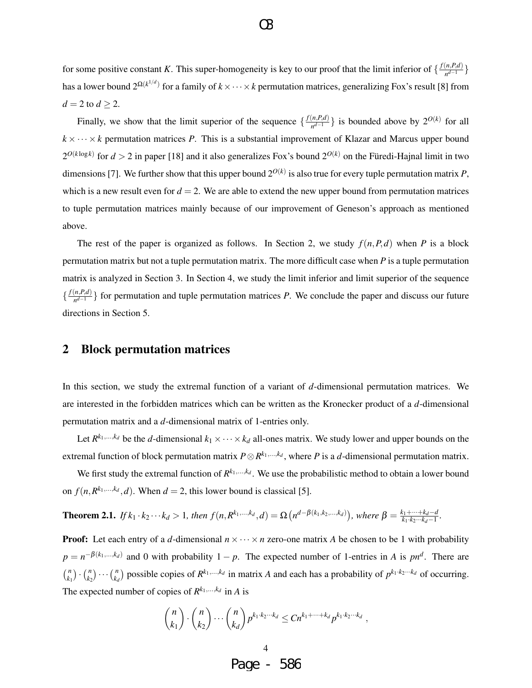for some positive constant *K*. This super-homogeneity is key to our proof that the limit inferior of  $\{\frac{f(n, P, d)}{n^{d-1}}\}$  $\frac{n,P,a)}{n^{d-1}}\}$ has a lower bound  $2^{\Omega(k^{1/d})}$  for a family of  $k \times \cdots \times k$  permutation matrices, generalizing Fox's result [8] from  $d = 2$  to  $d \geq 2$ .

O3

Finally, we show that the limit superior of the sequence  $\{\frac{f(n, P, d)}{n^{d-1}}\}$  $\left\{\frac{n, P, d}{n^{d-1}}\right\}$  is bounded above by  $2^{O(k)}$  for all  $k \times \cdots \times k$  permutation matrices *P*. This is a substantial improvement of Klazar and Marcus upper bound  $2^{O(k \log k)}$  for  $d > 2$  in paper [18] and it also generalizes Fox's bound  $2^{O(k)}$  on the Füredi-Hajnal limit in two dimensions [7]. We further show that this upper bound 2*O*(*k*) is also true for every tuple permutation matrix *P*, which is a new result even for  $d = 2$ . We are able to extend the new upper bound from permutation matrices to tuple permutation matrices mainly because of our improvement of Geneson's approach as mentioned above.

The rest of the paper is organized as follows. In Section 2, we study  $f(n, P, d)$  when *P* is a block permutation matrix but not a tuple permutation matrix. The more difficult case when *P* is a tuple permutation matrix is analyzed in Section 3. In Section 4, we study the limit inferior and limit superior of the sequence  $\frac{f(n, P, d)}{d}$  $\left\{\frac{n, r, a}{n^{d-1}}\right\}$  for permutation and tuple permutation matrices *P*. We conclude the paper and discuss our future directions in Section 5.

### 2 Block permutation matrices

In this section, we study the extremal function of a variant of *d*-dimensional permutation matrices. We are interested in the forbidden matrices which can be written as the Kronecker product of a *d*-dimensional permutation matrix and a *d*-dimensional matrix of 1-entries only.

Let  $R^{k_1,...,k_d}$  be the *d*-dimensional  $k_1 \times \cdots \times k_d$  all-ones matrix. We study lower and upper bounds on the extremal function of block permutation matrix  $P \otimes R^{k_1,\ldots,k_d}$ , where  $P$  is a *d*-dimensional permutation matrix.

We first study the extremal function of  $R^{k_1,\ldots,k_d}$ . We use the probabilistic method to obtain a lower bound on  $f(n, R^{k_1,...,k_d}, d)$ . When  $d = 2$ , this lower bound is classical [5].

**Theorem 2.1.** If 
$$
k_1 \cdot k_2 \cdot \cdot \cdot k_d > 1
$$
, then  $f(n, R^{k_1, \ldots, k_d}, d) = \Omega(n^{d - \beta(k_1, k_2, \ldots, k_d)})$ , where  $\beta = \frac{k_1 + \cdots + k_d - d}{k_1 \cdot k_2 \cdots k_d - 1}$ .

**Proof:** Let each entry of a *d*-dimensional  $n \times \cdots \times n$  zero-one matrix *A* be chosen to be 1 with probability  $p = n^{-\beta(k_1,...,k_d)}$  and 0 with probability  $1 - p$ . The expected number of 1-entries in *A* is  $pn^d$ . There are *n*  $\binom{n}{k_1} \cdot \binom{n}{k_2}$  $\binom{n}{k_2} \cdots \binom{n}{k_n}$  $\binom{n}{k_d}$  possible copies of  $R^{k_1,...,k_d}$  in matrix *A* and each has a probability of  $p^{k_1 \cdot k_2 \cdot ... \cdot k_d}$  of occurring. The expected number of copies of  $R^{k_1,...,k_d}$  in *A* is

$$
\binom{n}{k_1} \cdot \binom{n}{k_2} \cdots \binom{n}{k_d} p^{k_1 \cdot k_2 \cdots k_d} \le C n^{k_1 + \cdots + k_d} p^{k_1 \cdot k_2 \cdots k_d},
$$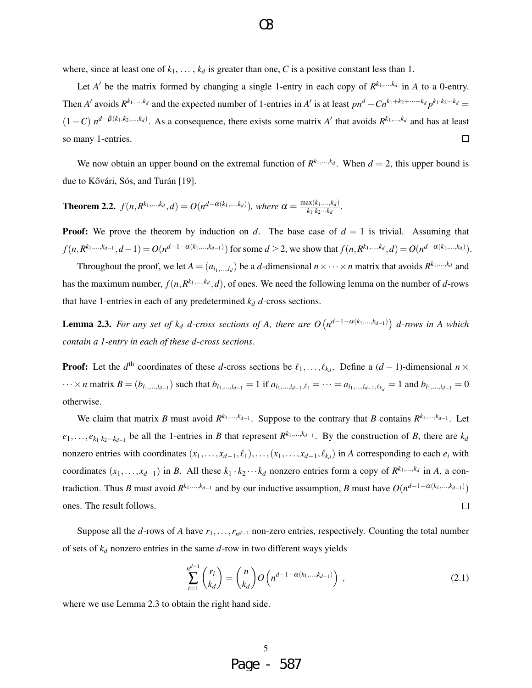where, since at least one of  $k_1, \ldots, k_d$  is greater than one, C is a positive constant less than 1.

Let *A'* be the matrix formed by changing a single 1-entry in each copy of  $R^{k_1,\dots,k_d}$  in *A* to a 0-entry. Then A' avoids  $R^{k_1,...,k_d}$  and the expected number of 1-entries in A' is at least  $pn^d - Cn^{k_1+k_2+\cdots+k_d}p^{k_1 \cdot k_2 \cdots k_d}$  $(1-C)$   $n^{d-\beta(k_1,k_2,...,k_d)}$ . As a consequence, there exists some matrix *A'* that avoids  $R^{k_1,...,k_d}$  and has at least so many 1-entries.  $\Box$ 

We now obtain an upper bound on the extremal function of  $R^{k_1,...,k_d}$ . When  $d = 2$ , this upper bound is due to Kővári, Sós, and Turán [19].

**Theorem 2.2.**  $f(n, R^{k_1,...,k_d}, d) = O(n^{d-\alpha(k_1,...,k_d)})$ , where  $\alpha = \frac{\max(k_1,...,k_d)}{k_1 \cdot k_2 \cdots k_d}$  $\frac{kx(k_1,...,k_d)}{k_1 \cdot k_2 \cdots k_d}$ .

**Proof:** We prove the theorem by induction on *d*. The base case of  $d = 1$  is trivial. Assuming that  $f(n, R^{k_1,...,k_{d-1}}, d-1) = O(n^{d-1-\alpha(k_1,...,k_{d-1})})$  for some  $d \ge 2$ , we show that  $f(n, R^{k_1,...,k_d}, d) = O(n^{d-\alpha(k_1,...,k_d)})$ .

Throughout the proof, we let  $A = (a_{i_1,...,i_d})$  be a *d*-dimensional  $n \times \cdots \times n$  matrix that avoids  $R^{k_1,...,k_d}$  and has the maximum number,  $f(n, R^{k_1,...,k_d}, d)$ , of ones. We need the following lemma on the number of *d*-rows that have 1-entries in each of any predetermined  $k_d$  *d*-cross sections.

**Lemma 2.3.** For any set of  $k_d$  *d*-cross sections of A, there are  $O(n^{d-1-\alpha(k_1,...,k_{d-1})})$  *d*-rows in A which *contain a 1-entry in each of these d-cross sections.*

**Proof:** Let the  $d^{\text{th}}$  coordinates of these *d*-cross sections be  $\ell_1, \ldots, \ell_{k_d}$ . Define a  $(d-1)$ -dimensional  $n \times$  $\dots \times n$  matrix  $B = (b_{i_1,...,i_{d-1}})$  such that  $b_{i_1,...,i_{d-1}} = 1$  if  $a_{i_1,...,i_{d-1},\ell_1} = \dots = a_{i_1,...,i_{d-1},\ell_{k_d}} = 1$  and  $b_{i_1,...,i_{d-1}} = 0$ otherwise.

We claim that matrix *B* must avoid  $R^{k_1,...,k_{d-1}}$ . Suppose to the contrary that *B* contains  $R^{k_1,...,k_{d-1}}$ . Let  $e_1, \ldots, e_{k_1 \cdot k_2 \cdots k_{d-1}}$  be all the 1-entries in *B* that represent  $R^{k_1, \ldots, k_{d-1}}$ . By the construction of *B*, there are  $k_d$ nonzero entries with coordinates  $(x_1, \ldots, x_{d-1}, \ell_1), \ldots, (x_1, \ldots, x_{d-1}, \ell_{k_d})$  in *A* corresponding to each  $e_i$  with coordinates  $(x_1, \ldots, x_{d-1})$  in *B*. All these  $k_1 \cdot k_2 \cdots k_d$  nonzero entries form a copy of  $R^{k_1, \ldots, k_d}$  in *A*, a contradiction. Thus *B* must avoid  $R^{k_1,...,k_{d-1}}$  and by our inductive assumption, *B* must have  $O(n^{d-1-\alpha(k_1,...,k_{d-1})})$ ones. The result follows.  $\Box$ 

Suppose all the *d*-rows of *A* have  $r_1, \ldots, r_{n^{d-1}}$  non-zero entries, respectively. Counting the total number of sets of *k<sup>d</sup>* nonzero entries in the same *d*-row in two different ways yields

$$
\sum_{i=1}^{n^{d-1}} \binom{r_i}{k_d} = \binom{n}{k_d} O\left(n^{d-1-\alpha(k_1,\dots,k_{d-1})}\right),\tag{2.1}
$$

where we use Lemma 2.3 to obtain the right hand side.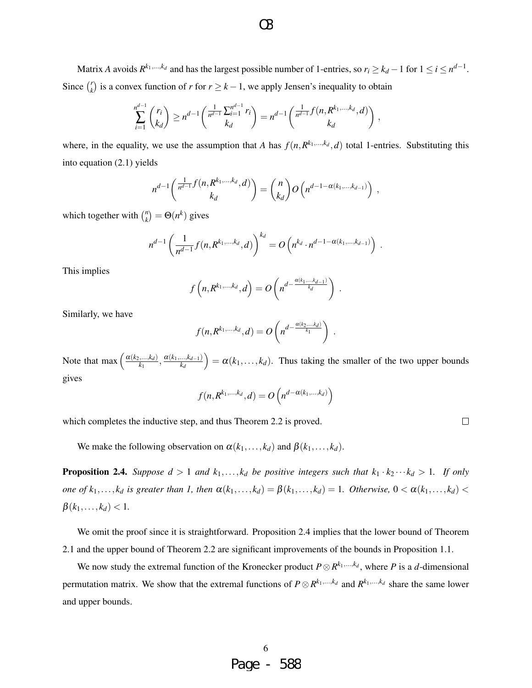Matrix *A* avoids  $R^{k_1,...,k_d}$  and has the largest possible number of 1-entries, so  $r_i \geq k_d - 1$  for  $1 \leq i \leq n^{d-1}$ . Since  $\binom{r}{k}$  $\binom{n}{k}$  is a convex function of *r* for  $r \geq k - 1$ , we apply Jensen's inequality to obtain

$$
\sum_{i=1}^{n^{d-1}} \binom{r_i}{k_d} \ge n^{d-1} \left( \frac{\frac{1}{n^{d-1}} \sum_{i=1}^{n^{d-1}} r_i}{k_d} \right) = n^{d-1} \left( \frac{\frac{1}{n^{d-1}} f(n, R^{k_1, \ldots, k_d}, d)}{k_d} \right),
$$

where, in the equality, we use the assumption that *A* has  $f(n, R^{k_1,...,k_d}, d)$  total 1-entries. Substituting this into equation (2.1) yields

$$
n^{d-1}\left(\frac{\frac{1}{n^{d-1}}f(n,R^{k_1,\ldots,k_d},d)}{k_d}\right) = {n \choose k_d} O\left(n^{d-1-\alpha(k_1,\ldots,k_{d-1})}\right),
$$

which together with  $\binom{n}{k}$  $\mathcal{L}_{k}^{n}$  =  $\Theta(n^{k})$  gives

$$
n^{d-1} \left( \frac{1}{n^{d-1}} f(n, R^{k_1, ..., k_d}, d) \right)^{k_d} = O \left( n^{k_d} \cdot n^{d-1 - \alpha(k_1, ..., k_{d-1})} \right) .
$$

This implies

$$
f\left(n, R^{k_1,\ldots,k_d}, d\right) = O\left(n^{d-\frac{\alpha(k_1,\ldots,k_{d-1})}{k_d}}\right).
$$

Similarly, we have

$$
f(n, R^{k_1,\ldots,k_d}, d) = O\left(n^{d-\frac{\alpha(k_2,\ldots,k_d)}{k_1}}\right).
$$

Note that max  $\left(\frac{\alpha(k_2,...,k_d)}{k_1}\right)$  $\frac{(k_1,...,k_d)}{k_1}, \frac{\alpha(k_1,...,k_{d-1})}{k_d}$ *kd*  $= \alpha(k_1,..., k_d)$ . Thus taking the smaller of the two upper bounds gives

$$
f(n, R^{k_1,\ldots,k_d}, d) = O\left(n^{d-\alpha(k_1,\ldots,k_d)}\right)
$$

 $\Box$ 

which completes the inductive step, and thus Theorem 2.2 is proved.

We make the following observation on  $\alpha(k_1,...,k_d)$  and  $\beta(k_1,...,k_d)$ .

**Proposition 2.4.** *Suppose*  $d > 1$  *and*  $k_1, \ldots, k_d$  *be positive integers such that*  $k_1 \cdot k_2 \cdots k_d > 1$ *. If only one of*  $k_1, \ldots, k_d$  *is greater than* 1, then  $\alpha(k_1, \ldots, k_d) = \beta(k_1, \ldots, k_d) = 1$ . Otherwise,  $0 < \alpha(k_1, \ldots, k_d)$  $\beta(k_1,...,k_d) < 1.$ 

We omit the proof since it is straightforward. Proposition 2.4 implies that the lower bound of Theorem 2.1 and the upper bound of Theorem 2.2 are significant improvements of the bounds in Proposition 1.1.

We now study the extremal function of the Kronecker product  $P \otimes R^{k_1, ..., k_d}$ , where *P* is a *d*-dimensional permutation matrix. We show that the extremal functions of  $P \otimes R^{k_1, ..., k_d}$  and  $R^{k_1, ..., k_d}$  share the same lower and upper bounds.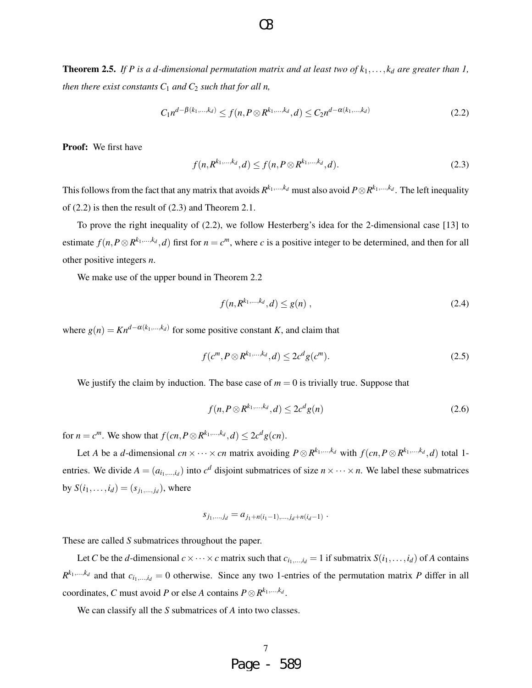**Theorem 2.5.** If P is a d-dimensional permutation matrix and at least two of  $k_1, \ldots, k_d$  are greater than 1, *then there exist constants*  $C_1$  *and*  $C_2$  *such that for all n,* 

$$
C_1 n^{d-\beta(k_1,\dots,k_d)} \le f(n, P \otimes R^{k_1,\dots,k_d}, d) \le C_2 n^{d-\alpha(k_1,\dots,k_d)}
$$
\n(2.2)

Proof: We first have

$$
f(n, R^{k_1,...,k_d}, d) \le f(n, P \otimes R^{k_1,...,k_d}, d). \tag{2.3}
$$

This follows from the fact that any matrix that avoids  $R^{k_1,...,k_d}$  must also avoid  $P \otimes R^{k_1,...,k_d}$ . The left inequality of (2.2) is then the result of (2.3) and Theorem 2.1.

To prove the right inequality of (2.2), we follow Hesterberg's idea for the 2-dimensional case [13] to estimate  $f(n, P \otimes R^{k_1, \ldots, k_d}, d)$  first for  $n = c^m$ , where *c* is a positive integer to be determined, and then for all other positive integers *n*.

We make use of the upper bound in Theorem 2.2

$$
f(n, R^{k_1, \dots, k_d}, d) \le g(n) \tag{2.4}
$$

where  $g(n) = Kn^{d-\alpha(k_1,\dots,k_d)}$  for some positive constant *K*, and claim that

$$
f(c^{m}, P \otimes R^{k_1, \dots, k_d}, d) \le 2c^d g(c^{m}).
$$
\n(2.5)

We justify the claim by induction. The base case of  $m = 0$  is trivially true. Suppose that

$$
f(n, P \otimes R^{k_1, \ldots, k_d}, d) \le 2c^d g(n) \tag{2.6}
$$

for  $n = c^m$ . We show that  $f(cn, P \otimes R^{k_1, \ldots, k_d}, d) \leq 2c^d g(cn)$ .

Let A be a d-dimensional  $cn \times \cdots \times cn$  matrix avoiding  $P \otimes R^{k_1,\ldots,k_d}$  with  $f(cn, P \otimes R^{k_1,\ldots,k_d}, d)$  total 1entries. We divide  $A = (a_{i_1,...,i_d})$  into  $c^d$  disjoint submatrices of size  $n \times \cdots \times n$ . We label these submatrices by  $S(i_1,...,i_d) = (s_{j_1,...,j_d})$ , where

$$
s_{j_1,...,j_d} = a_{j_1+n(i_1-1),...,j_d+n(i_d-1)}.
$$

These are called *S* submatrices throughout the paper.

Let *C* be the *d*-dimensional  $c \times \cdots \times c$  matrix such that  $c_{i_1,\dots,i_d} = 1$  if submatrix  $S(i_1,\dots,i_d)$  of *A* contains  $R^{k_1,...,k_d}$  and that  $c_{i_1,...,i_d} = 0$  otherwise. Since any two 1-entries of the permutation matrix *P* differ in all coordinates, *C* must avoid *P* or else *A* contains  $P \otimes R^{k_1, \ldots, k_d}$ .

We can classify all the *S* submatrices of *A* into two classes.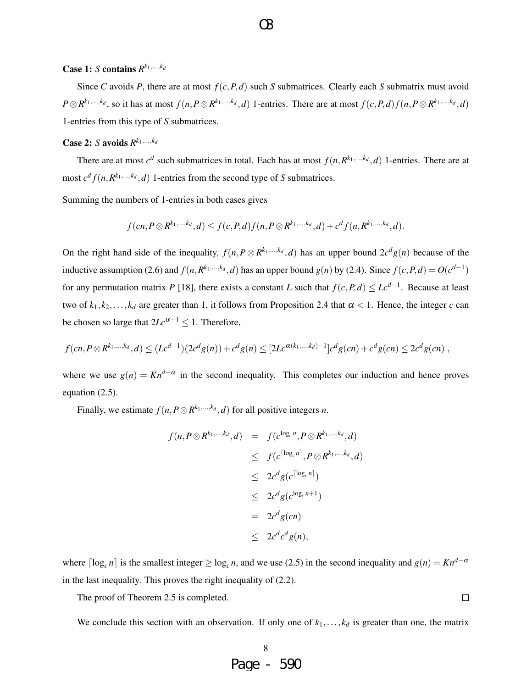### Case 1: *S* contains  $R^{k_1,...,k_d}$

Since *C* avoids *P*, there are at most  $f(c, P, d)$  such *S* submatrices. Clearly each *S* submatrix must avoid  $P \otimes R^{k_1,...,k_d}$ , so it has at most  $f(n, P \otimes R^{k_1,...,k_d}, d)$  1-entries. There are at most  $f(c, P, d) f(n, P \otimes R^{k_1,...,k_d}, d)$ 1-entries from this type of *S* submatrices.

### **Case 2:** *S* avoids  $R^{k_1,...,k_d}$

There are at most  $c^d$  such submatrices in total. Each has at most  $f(n, R^{k_1,...,k_d}, d)$  1-entries. There are at most  $c^d f(n, R^{k_1,...,k_d}, d)$  1-entries from the second type of *S* submatrices.

Summing the numbers of 1-entries in both cases gives

$$
f(cn, P \otimes R^{k_1,...,k_d}, d) \le f(c, P, d) f(n, P \otimes R^{k_1,...,k_d}, d) + c^d f(n, R^{k_1,...,k_d}, d).
$$

On the right hand side of the inequality,  $f(n, P \otimes R^{k_1, ..., k_d}, d)$  has an upper bound  $2c^d g(n)$  because of the inductive assumption (2.6) and  $f(n, R^{k_1,...,k_d}, d)$  has an upper bound  $g(n)$  by (2.4). Since  $f(c, P, d) = O(c^{d-1})$ for any permutation matrix *P* [18], there exists a constant *L* such that  $f(c, P, d) \leq Lc^{d-1}$ . Because at least two of  $k_1, k_2, \ldots, k_d$  are greater than 1, it follows from Proposition 2.4 that  $\alpha < 1$ . Hence, the integer *c* can be chosen so large that  $2Lc^{\alpha-1} \leq 1$ . Therefore,

$$
f(cn, P\otimes R^{k_1,\ldots,k_d}, d) \leq (Lc^{d-1})(2c^d g(n)) + c^d g(n) \leq [2Lc^{\alpha(k_1,\ldots,k_d)-1}]c^d g(cn) + c^d g(cn) \leq 2c^d g(cn) ,
$$

where we use  $g(n) = K n^{d-\alpha}$  in the second inequality. This completes our induction and hence proves equation (2.5).

Finally, we estimate  $f(n, P \otimes R^{k_1, \ldots, k_d}, d)$  for all positive integers *n*.

$$
f(n, P \otimes R^{k_1, \ldots, k_d}, d) = f(c^{\log_c n}, P \otimes R^{k_1, \ldots, k_d}, d)
$$
  
\n
$$
\leq f(c^{\lceil \log_c n \rceil}, P \otimes R^{k_1, \ldots, k_d}, d)
$$
  
\n
$$
\leq 2c^d g(c^{\lceil \log_c n \rceil})
$$
  
\n
$$
\leq 2c^d g(cn)
$$
  
\n
$$
\leq 2c^d c^d g(n),
$$

where  $\lceil \log_c n \rceil$  is the smallest integer  $\geq \log_c n$ , and we use (2.5) in the second inequality and  $g(n) = K n^{d-\alpha}$ in the last inequality. This proves the right inequality of (2.2).

The proof of Theorem 2.5 is completed.

We conclude this section with an observation. If only one of  $k_1, \ldots, k_d$  is greater than one, the matrix

 $\Box$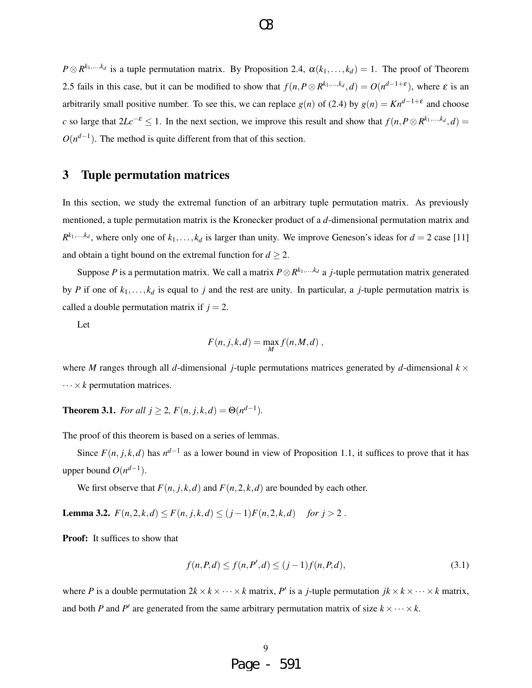$P \otimes R^{k_1,\dots,k_d}$  is a tuple permutation matrix. By Proposition 2.4,  $\alpha(k_1,\dots,k_d) = 1$ . The proof of Theorem 2.5 fails in this case, but it can be modified to show that  $f(n, P \otimes R^{k_1,\ldots,k_d}, d) = O(n^{d-1+\epsilon})$ , where  $\varepsilon$  is an arbitrarily small positive number. To see this, we can replace  $g(n)$  of (2.4) by  $g(n) = Kn^{d-1+\epsilon}$  and choose *c* so large that  $2Lc^{-\varepsilon} \leq 1$ . In the next section, we improve this result and show that  $f(n, P \otimes R^{k_1,...,k_d}, d)$  $O(n^{d-1})$ . The method is quite different from that of this section.

## 3 Tuple permutation matrices

In this section, we study the extremal function of an arbitrary tuple permutation matrix. As previously mentioned, a tuple permutation matrix is the Kronecker product of a *d*-dimensional permutation matrix and  $R^{k_1,...,k_d}$ , where only one of  $k_1,...,k_d$  is larger than unity. We improve Geneson's ideas for  $d = 2$  case [11] and obtain a tight bound on the extremal function for  $d \geq 2$ .

Suppose *P* is a permutation matrix. We call a matrix *P*⊗*R <sup>k</sup>*1,...,*k<sup>d</sup>* a *j*-tuple permutation matrix generated by *P* if one of  $k_1, \ldots, k_d$  is equal to *j* and the rest are unity. In particular, a *j*-tuple permutation matrix is called a double permutation matrix if  $j = 2$ .

Let

$$
F(n,j,k,d) = \max_{M} f(n,M,d) ,
$$

where *M* ranges through all *d*-dimensional *j*-tuple permutations matrices generated by *d*-dimensional  $k \times$  $\cdots \times k$  permutation matrices.

**Theorem 3.1.** *For all*  $j \ge 2$ *,*  $F(n, j, k, d) = \Theta(n^{d-1})$ *.* 

The proof of this theorem is based on a series of lemmas.

Since  $F(n, j, k, d)$  has  $n^{d-1}$  as a lower bound in view of Proposition 1.1, it suffices to prove that it has upper bound  $O(n^{d-1})$ .

We first observe that  $F(n, j, k, d)$  and  $F(n, 2, k, d)$  are bounded by each other.

**Lemma 3.2.**  $F(n, 2, k, d) \le F(n, j, k, d) \le (j - 1)F(n, 2, k, d)$  for  $j > 2$ .

Proof: It suffices to show that

$$
f(n, P, d) \le f(n, P', d) \le (j - 1)f(n, P, d),\tag{3.1}
$$

where *P* is a double permutation  $2k \times k \times \cdots \times k$  matrix, *P'* is a *j*-tuple permutation  $jk \times k \times \cdots \times k$  matrix, and both *P* and *P*<sup> $\prime$ </sup> are generated from the same arbitrary permutation matrix of size  $k \times \cdots \times k$ .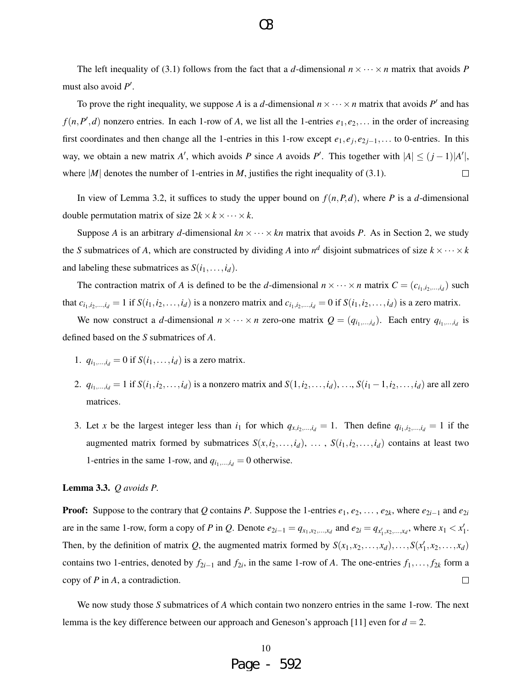The left inequality of (3.1) follows from the fact that a *d*-dimensional  $n \times \cdots \times n$  matrix that avoids *P* must also avoid  $P'$ .

To prove the right inequality, we suppose A is a d-dimensional  $n \times \cdots \times n$  matrix that avoids P' and has  $f(n, P', d)$  nonzero entries. In each 1-row of *A*, we list all the 1-entries  $e_1, e_2, \ldots$  in the order of increasing first coordinates and then change all the 1-entries in this 1-row except  $e_1, e_j, e_{2j-1}, \ldots$  to 0-entries. In this way, we obtain a new matrix *A'*, which avoids *P* since *A* avoids *P'*. This together with  $|A| \leq (j-1)|A'|$ , where  $|M|$  denotes the number of 1-entries in *M*, justifies the right inequality of (3.1).  $\Box$ 

In view of Lemma 3.2, it suffices to study the upper bound on  $f(n, P, d)$ , where *P* is a *d*-dimensional double permutation matrix of size  $2k \times k \times \cdots \times k$ .

Suppose *A* is an arbitrary *d*-dimensional  $kn \times \cdots \times kn$  matrix that avoids *P*. As in Section 2, we study the *S* submatrices of *A*, which are constructed by dividing *A* into  $n^d$  disjoint submatrices of size  $k \times \cdots \times k$ and labeling these submatrices as  $S(i_1, \ldots, i_d)$ .

The contraction matrix of *A* is defined to be the *d*-dimensional  $n \times \cdots \times n$  matrix  $C = (c_{i_1,i_2,\dots,i_d})$  such that  $c_{i_1,i_2,...,i_d} = 1$  if  $S(i_1,i_2,...,i_d)$  is a nonzero matrix and  $c_{i_1,i_2,...,i_d} = 0$  if  $S(i_1,i_2,...,i_d)$  is a zero matrix.

We now construct a *d*-dimensional  $n \times \cdots \times n$  zero-one matrix  $Q = (q_{i_1,\ldots,i_d})$ . Each entry  $q_{i_1,\ldots,i_d}$  is defined based on the *S* submatrices of *A*.

- 1.  $q_{i_1,\dots,i_d} = 0$  if  $S(i_1,\dots,i_d)$  is a zero matrix.
- 2.  $q_{i_1,...,i_d} = 1$  if  $S(i_1, i_2,..., i_d)$  is a nonzero matrix and  $S(1, i_2,..., i_d), ..., S(i_1 1, i_2,..., i_d)$  are all zero matrices.
- 3. Let *x* be the largest integer less than  $i_1$  for which  $q_{x,i_2,...,i_d} = 1$ . Then define  $q_{i_1,i_2,...,i_d} = 1$  if the augmented matrix formed by submatrices  $S(x, i_2, \ldots, i_d)$ ,  $\ldots$ ,  $S(i_1, i_2, \ldots, i_d)$  contains at least two 1-entries in the same 1-row, and  $q_{i_1,\dots,i_d} = 0$  otherwise.

#### Lemma 3.3. *Q avoids P.*

**Proof:** Suppose to the contrary that *Q* contains *P*. Suppose the 1-entries  $e_1, e_2, \ldots, e_{2k}$ , where  $e_{2i-1}$  and  $e_{2i}$ are in the same 1-row, form a copy of P in Q. Denote  $e_{2i-1} = q_{x_1, x_2, ..., x_d}$  and  $e_{2i} = q_{x'_1, x_2, ..., x_d}$ , where  $x_1 < x'_1$ . Then, by the definition of matrix *Q*, the augmented matrix formed by  $S(x_1, x_2, \ldots, x_d), \ldots, S(x'_1, x_2, \ldots, x_d)$ contains two 1-entries, denoted by  $f_{2i-1}$  and  $f_{2i}$ , in the same 1-row of *A*. The one-entries  $f_1, \ldots, f_{2k}$  form a copy of *P* in *A*, a contradiction.  $\Box$ 

We now study those *S* submatrices of *A* which contain two nonzero entries in the same 1-row. The next lemma is the key difference between our approach and Geneson's approach [11] even for  $d = 2$ .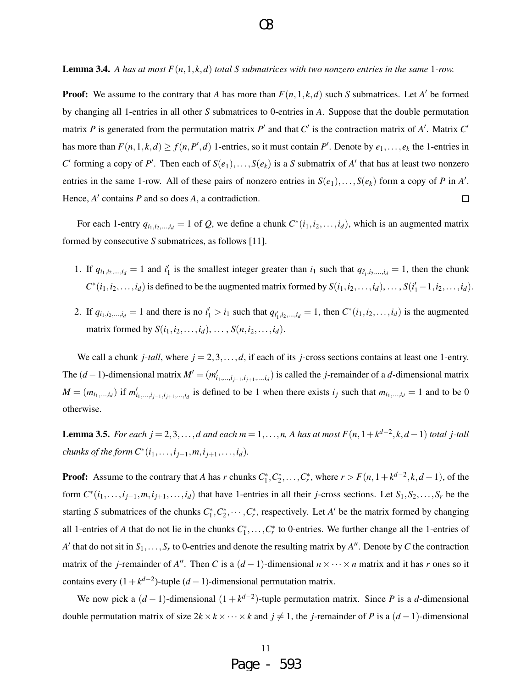**Lemma 3.4.** A has at most  $F(n,1,k,d)$  total S submatrices with two nonzero entries in the same 1-row.

**Proof:** We assume to the contrary that *A* has more than  $F(n, 1, k, d)$  such *S* submatrices. Let *A'* be formed by changing all 1-entries in all other *S* submatrices to 0-entries in *A*. Suppose that the double permutation matrix *P* is generated from the permutation matrix *P'* and that  $C'$  is the contraction matrix of  $A'$ . Matrix  $C'$ has more than  $F(n,1,k,d) \ge f(n,P',d)$  1-entries, so it must contain  $P'$ . Denote by  $e_1,\ldots,e_k$  the 1-entries in *C*<sup> $\prime$ </sup> forming a copy of *P*<sup> $\prime$ </sup>. Then each of *S*(*e*<sub>1</sub>),...,*S*(*e*<sub>*k*</sub>) is a *S* submatrix of *A*<sup> $\prime$ </sup> that has at least two nonzero entries in the same 1-row. All of these pairs of nonzero entries in  $S(e_1),...,S(e_k)$  form a copy of *P* in *A'*. Hence,  $A'$  contains  $P$  and so does  $A$ , a contradiction.  $\Box$ 

For each 1-entry  $q_{i_1,i_2,...,i_d} = 1$  of Q, we define a chunk  $C^*(i_1,i_2,...,i_d)$ , which is an augmented matrix formed by consecutive *S* submatrices, as follows [11].

- 1. If  $q_{i_1,i_2,...,i_d} = 1$  and  $i'_1$  is the smallest integer greater than  $i_1$  such that  $q_{i'_1,i_2,...,i_d} = 1$ , then the chunk  $C^*(i_1, i_2, \ldots, i_d)$  is defined to be the augmented matrix formed by  $S(i_1, i_2, \ldots, i_d), \ldots, S(i'_1 - 1, i_2, \ldots, i_d)$ .
- 2. If  $q_{i_1,i_2,...,i_d} = 1$  and there is no  $i'_1 > i_1$  such that  $q_{i'_1,i_2,...,i_d} = 1$ , then  $C^*(i_1,i_2,...,i_d)$  is the augmented matrix formed by  $S(i_1, i_2, \ldots, i_d), \ldots, S(n, i_2, \ldots, i_d)$ .

We call a chunk *j*-tall, where  $j = 2, 3, \ldots, d$ , if each of its *j*-cross sections contains at least one 1-entry. The  $(d-1)$ -dimensional matrix  $M' = (m'_{i_1,\dots,i_{j-1},i_{j+1},\dots,i_d})$  is called the *j*-remainder of a *d*-dimensional matrix  $M = (m_{i_1,...,i_d})$  if  $m'_{i_1,...,i_{j-1},i_{j+1},...,i_d}$  is defined to be 1 when there exists  $i_j$  such that  $m_{i_1,...,i_d} = 1$  and to be 0 otherwise.

**Lemma 3.5.** *For each j* = 2,3,...,*d* and each  $m = 1, \ldots, n$ , *A has at most*  $F(n, 1 + k^{d-2}, k, d - 1)$  *total j-tall chunks of the form*  $C^*(i_1, ..., i_{j-1}, m, i_{j+1}, ..., i_d)$ *.* 

**Proof:** Assume to the contrary that *A* has *r* chunks  $C_1^*, C_2^*, \ldots, C_r^*$ , where  $r > F(n, 1 + k^{d-2}, k, d-1)$ , of the form  $C^*(i_1,\ldots,i_{j-1},m,i_{j+1},\ldots,i_d)$  that have 1-entries in all their *j*-cross sections. Let  $S_1, S_2,\ldots,S_r$  be the starting *S* submatrices of the chunks  $C_1^*, C_2^*, \cdots, C_r^*$ , respectively. Let *A*<sup> $\prime$ </sup> be the matrix formed by changing all 1-entries of *A* that do not lie in the chunks  $C_1^*, \ldots, C_r^*$  to 0-entries. We further change all the 1-entries of *A*<sup> $\prime$ </sup> that do not sit in  $S_1, \ldots, S_r$  to 0-entries and denote the resulting matrix by *A*<sup> $\prime\prime$ </sup>. Denote by *C* the contraction matrix of the *j*-remainder of *A*<sup>*n*</sup>. Then *C* is a  $(d-1)$ -dimensional  $n \times \cdots \times n$  matrix and it has *r* ones so it contains every  $(1 + k^{d-2})$ -tuple  $(d-1)$ -dimensional permutation matrix.

We now pick a  $(d-1)$ -dimensional  $(1 + k^{d-2})$ -tuple permutation matrix. Since *P* is a *d*-dimensional double permutation matrix of size  $2k \times k \times \cdots \times k$  and  $j ≠ 1$ , the *j*-remainder of *P* is a  $(d-1)$ -dimensional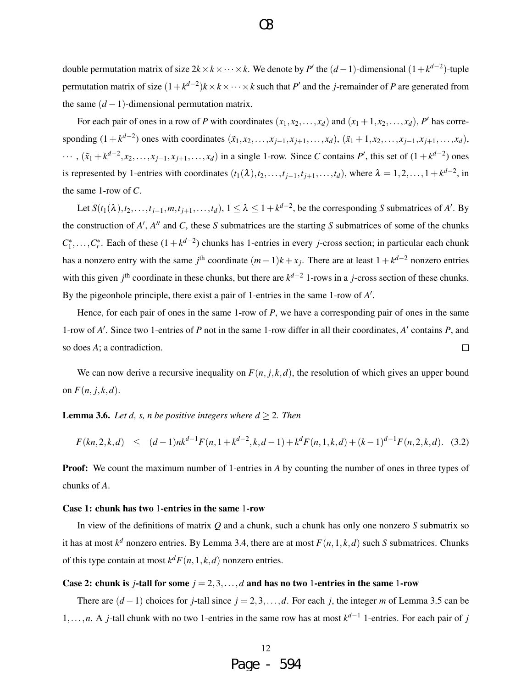double permutation matrix of size  $2k \times k \times \cdots \times k$ . We denote by *P*<sup> $\prime$ </sup> the  $(d-1)$ -dimensional  $(1 + k^{d-2})$ -tuple permutation matrix of size  $(1 + k^{d-2})k \times k \times \cdots \times k$  such that *P*<sup> $\prime$ </sup> and the *j*-remainder of *P* are generated from the same  $(d-1)$ -dimensional permutation matrix.

For each pair of ones in a row of *P* with coordinates  $(x_1, x_2, ..., x_d)$  and  $(x_1 + 1, x_2, ..., x_d)$ , *P'* has corresponding  $(1 + k^{d-2})$  ones with coordinates  $(\tilde{x}_1, x_2, ..., x_{j-1}, x_{j+1}, ..., x_d)$ ,  $(\tilde{x}_1 + 1, x_2, ..., x_{j-1}, x_{j+1}, ..., x_d)$ ,  $\cdots$ ,  $(\tilde{x}_1 + k^{d-2}, x_2, \ldots, x_{j-1}, x_{j+1}, \ldots, x_d)$  in a single 1-row. Since *C* contains *P'*, this set of  $(1 + k^{d-2})$  ones is represented by 1-entries with coordinates  $(t_1(\lambda), t_2, \ldots, t_{j-1}, t_{j+1}, \ldots, t_d)$ , where  $\lambda = 1, 2, \ldots, 1 + k^{d-2}$ , in the same 1-row of *C*.

Let  $S(t_1(\lambda), t_2, \ldots, t_{j-1}, m, t_{j+1}, \ldots, t_d)$ ,  $1 \leq \lambda \leq 1 + k^{d-2}$ , be the corresponding *S* submatrices of *A'*. By the construction of  $A'$ ,  $A''$  and  $C$ , these  $S$  submatrices are the starting  $S$  submatrices of some of the chunks  $C_1^*, \ldots, C_r^*$ . Each of these  $(1 + k^{d-2})$  chunks has 1-entries in every *j*-cross section; in particular each chunk has a nonzero entry with the same  $j^{\text{th}}$  coordinate  $(m-1)k + x_j$ . There are at least  $1 + k^{d-2}$  nonzero entries with this given  $j^{\text{th}}$  coordinate in these chunks, but there are  $k^{d-2}$  1-rows in a *j*-cross section of these chunks. By the pigeonhole principle, there exist a pair of 1-entries in the same 1-row of A'.

Hence, for each pair of ones in the same 1-row of *P*, we have a corresponding pair of ones in the same 1-row of *A'*. Since two 1-entries of *P* not in the same 1-row differ in all their coordinates, *A'* contains *P*, and so does *A*; a contradiction.  $\Box$ 

We can now derive a recursive inequality on  $F(n, j, k, d)$ , the resolution of which gives an upper bound on  $F(n, j, k, d)$ .

**Lemma 3.6.** *Let d, s, n be positive integers where*  $d \geq 2$ *. Then* 

$$
F(kn,2,k,d) \le (d-1)nk^{d-1}F(n,1+k^{d-2},k,d-1)+k^dF(n,1,k,d)+(k-1)^{d-1}F(n,2,k,d). \quad (3.2)
$$

**Proof:** We count the maximum number of 1-entries in A by counting the number of ones in three types of chunks of *A*.

#### Case 1: chunk has two 1-entries in the same 1-row

In view of the definitions of matrix *Q* and a chunk, such a chunk has only one nonzero *S* submatrix so it has at most  $k^d$  nonzero entries. By Lemma 3.4, there are at most  $F(n,1,k,d)$  such *S* submatrices. Chunks of this type contain at most  $k^d F(n,1,k,d)$  nonzero entries.

### Case 2: chunk is *j*-tall for some  $j = 2, 3, \ldots, d$  and has no two 1-entries in the same 1-row

There are  $(d-1)$  choices for *j*-tall since  $j = 2, 3, \ldots, d$ . For each *j*, the integer *m* of Lemma 3.5 can be 1,...,*n*. A *j*-tall chunk with no two 1-entries in the same row has at most *k <sup>d</sup>*−<sup>1</sup> 1-entries. For each pair of *j*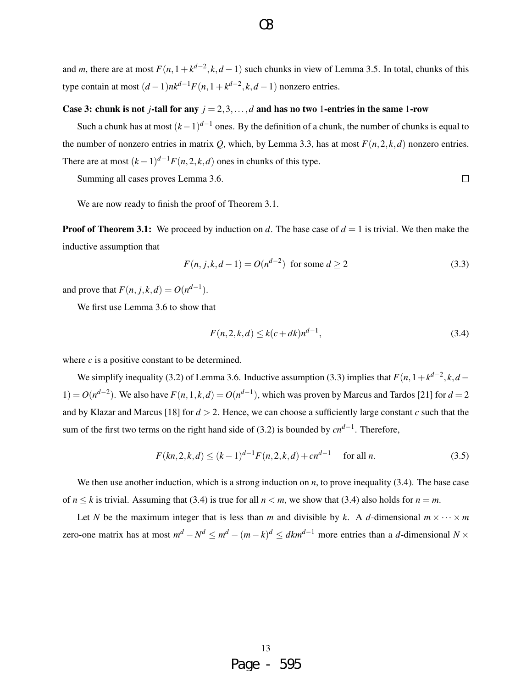and *m*, there are at most  $F(n, 1 + k^{d-2}, k, d - 1)$  such chunks in view of Lemma 3.5. In total, chunks of this type contain at most  $(d-1)nk^{d-1}F(n, 1+k^{d-2}, k, d-1)$  nonzero entries.

### Case 3: chunk is not *j*-tall for any  $j = 2, 3, ..., d$  and has no two 1-entries in the same 1-row

Such a chunk has at most  $(k-1)^{d-1}$  ones. By the definition of a chunk, the number of chunks is equal to the number of nonzero entries in matrix *Q*, which, by Lemma 3.3, has at most  $F(n, 2, k, d)$  nonzero entries. There are at most  $(k-1)^{d-1}F(n, 2, k, d)$  ones in chunks of this type.

Summing all cases proves Lemma 3.6.

 $\Box$ 

We are now ready to finish the proof of Theorem 3.1.

**Proof of Theorem 3.1:** We proceed by induction on *d*. The base case of  $d = 1$  is trivial. We then make the inductive assumption that

$$
F(n, j, k, d-1) = O(n^{d-2}) \text{ for some } d \ge 2
$$
\n(3.3)

and prove that  $F(n, j, k, d) = O(n^{d-1}).$ 

We first use Lemma 3.6 to show that

$$
F(n, 2, k, d) \le k(c + dk)n^{d-1},\tag{3.4}
$$

where *c* is a positive constant to be determined.

We simplify inequality (3.2) of Lemma 3.6. Inductive assumption (3.3) implies that  $F(n,1+k^{d-2},k,d-1)$ 1) =  $O(n^{d-2})$ . We also have  $F(n, 1, k, d) = O(n^{d-1})$ , which was proven by Marcus and Tardos [21] for *d* = 2 and by Klazar and Marcus [18] for *d* > 2. Hence, we can choose a sufficiently large constant *c* such that the sum of the first two terms on the right hand side of (3.2) is bounded by *cnd*−<sup>1</sup> . Therefore,

$$
F(kn, 2, k, d) \le (k-1)^{d-1} F(n, 2, k, d) + cn^{d-1} \quad \text{for all } n.
$$
 (3.5)

We then use another induction, which is a strong induction on *n*, to prove inequality (3.4). The base case of  $n \leq k$  is trivial. Assuming that (3.4) is true for all  $n \leq m$ , we show that (3.4) also holds for  $n = m$ .

Let *N* be the maximum integer that is less than *m* and divisible by *k*. A *d*-dimensional  $m \times \cdots \times m$ zero-one matrix has at most  $m^d - N^d \le m^d - (m - k)^d \le dkm^{d-1}$  more entries than a *d*-dimensional  $N \times$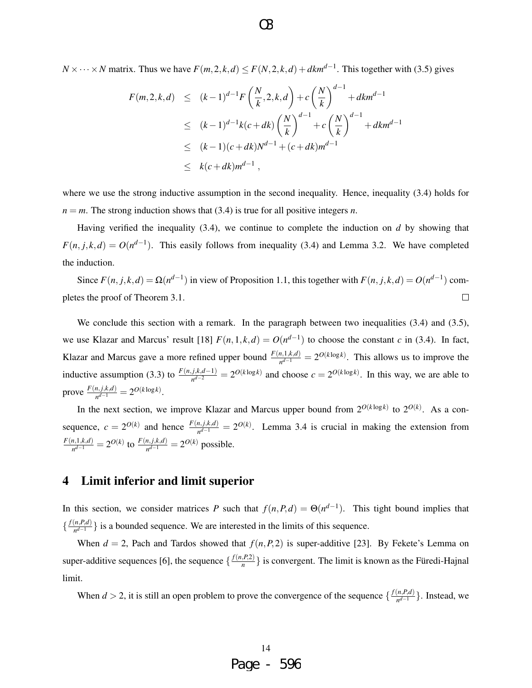*N* × ··· × *N* matrix. Thus we have  $F(m, 2, k, d)$  ≤  $F(N, 2, k, d)$  +  $dkm^{d-1}$ . This together with (3.5) gives

$$
F(m,2,k,d) \le (k-1)^{d-1} F\left(\frac{N}{k},2,k,d\right) + c\left(\frac{N}{k}\right)^{d-1} + dkm^{d-1}
$$
  
\n
$$
\le (k-1)^{d-1} k(c+dk) \left(\frac{N}{k}\right)^{d-1} + c\left(\frac{N}{k}\right)^{d-1} + dkm^{d-1}
$$
  
\n
$$
\le (k-1)(c+dk)N^{d-1} + (c+dk)m^{d-1}
$$
  
\n
$$
\le k(c+dk)m^{d-1},
$$

where we use the strong inductive assumption in the second inequality. Hence, inequality (3.4) holds for  $n = m$ . The strong induction shows that (3.4) is true for all positive integers *n*.

Having verified the inequality (3.4), we continue to complete the induction on *d* by showing that  $F(n, j, k, d) = O(n^{d-1})$ . This easily follows from inequality (3.4) and Lemma 3.2. We have completed the induction.

Since  $F(n, j, k, d) = \Omega(n^{d-1})$  in view of Proposition 1.1, this together with  $F(n, j, k, d) = O(n^{d-1})$  completes the proof of Theorem 3.1.  $\Box$ 

We conclude this section with a remark. In the paragraph between two inequalities (3.4) and (3.5), we use Klazar and Marcus' result [18]  $F(n,1,k,d) = O(n^{d-1})$  to choose the constant *c* in (3.4). In fact, Klazar and Marcus gave a more refined upper bound  $\frac{F(n,1,k,d)}{n^{d-1}} = 2^{O(k \log k)}$ . This allows us to improve the inductive assumption (3.3) to  $\frac{F(n,j,k,d-1)}{n^{d-2}} = 2^{O(k \log k)}$  and choose  $c = 2^{O(k \log k)}$ . In this way, we are able to prove  $\frac{F(n,j,k,d)}{nd-1}$  $\frac{n,j,k,d)}{n^{d-1}} = 2^{O(k \log k)}$ .

In the next section, we improve Klazar and Marcus upper bound from  $2^{O(k \log k)}$  to  $2^{O(k)}$ . As a consequence,  $c = 2^{O(k)}$  and hence  $\frac{F(n,j,k,d)}{n^{d-1}} = 2^{O(k)}$ . Lemma 3.4 is crucial in making the extension from *F*(*n*,1,*k*,*d*)  $\frac{n,1,k,d)}{n^{d-1}} = 2^{O(k)}$  to  $\frac{F(n,j,k,d)}{n^{d-1}} = 2^{O(k)}$  possible.

# 4 Limit inferior and limit superior

In this section, we consider matrices *P* such that  $f(n, P, d) = \Theta(n^{d-1})$ . This tight bound implies that  $\frac{f(n, P, d)}{d}$  $\left\{ \frac{n,r,a}{n^{d-1}} \right\}$  is a bounded sequence. We are interested in the limits of this sequence.

When  $d = 2$ , Pach and Tardos showed that  $f(n, P, 2)$  is super-additive [23]. By Fekete's Lemma on super-additive sequences [6], the sequence  $\left\{\frac{f(n, P, 2)}{n}\right\}$  $\left\{\frac{r(1)}{n}\right\}$  is convergent. The limit is known as the Füredi-Hajnal limit.

When  $d > 2$ , it is still an open problem to prove the convergence of the sequence  $\{\frac{f(n, P, d)}{n^{d-1}}\}$ *n*<sup>*d*−1</sup></sub> }. Instead, we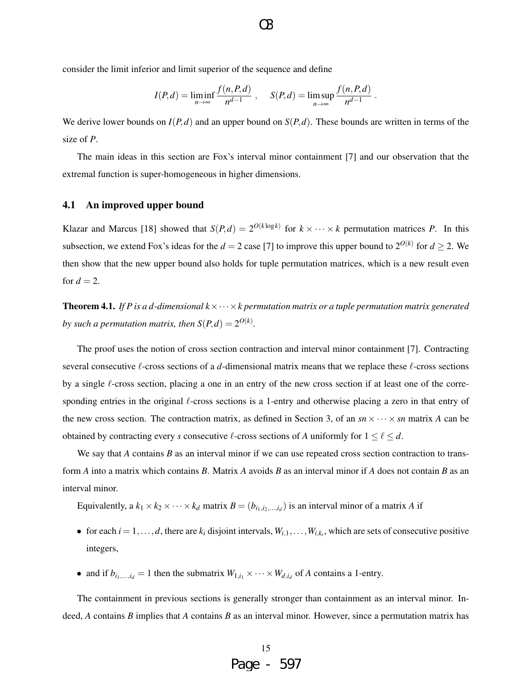consider the limit inferior and limit superior of the sequence and define

$$
I(P,d) = \liminf_{n \to \infty} \frac{f(n, P,d)}{n^{d-1}}, \quad S(P,d) = \limsup_{n \to \infty} \frac{f(n, P,d)}{n^{d-1}}.
$$

We derive lower bounds on  $I(P,d)$  and an upper bound on  $S(P,d)$ . These bounds are written in terms of the size of *P*.

The main ideas in this section are Fox's interval minor containment [7] and our observation that the extremal function is super-homogeneous in higher dimensions.

### 4.1 An improved upper bound

Klazar and Marcus [18] showed that  $S(P,d) = 2^{O(k \log k)}$  for  $k \times \cdots \times k$  permutation matrices *P*. In this subsection, we extend Fox's ideas for the  $d = 2$  case [7] to improve this upper bound to  $2^{O(k)}$  for  $d \ge 2$ . We then show that the new upper bound also holds for tuple permutation matrices, which is a new result even for  $d = 2$ .

**Theorem 4.1.** *If P is a d-dimensional*  $k \times \cdots \times k$  permutation matrix or a tuple permutation matrix generated *by such a permutation matrix, then*  $S(P,d) = 2^{O(k)}$ *.* 

The proof uses the notion of cross section contraction and interval minor containment [7]. Contracting several consecutive  $\ell$ -cross sections of a *d*-dimensional matrix means that we replace these  $\ell$ -cross sections by a single  $\ell$ -cross section, placing a one in an entry of the new cross section if at least one of the corresponding entries in the original  $\ell$ -cross sections is a 1-entry and otherwise placing a zero in that entry of the new cross section. The contraction matrix, as defined in Section 3, of an  $sn \times \cdots \times sn$  matrix *A* can be obtained by contracting every *s* consecutive  $\ell$ -cross sections of *A* uniformly for  $1 \leq \ell \leq d$ .

We say that *A* contains *B* as an interval minor if we can use repeated cross section contraction to transform *A* into a matrix which contains *B*. Matrix *A* avoids *B* as an interval minor if *A* does not contain *B* as an interval minor.

Equivalently, a  $k_1 \times k_2 \times \cdots \times k_d$  matrix  $B = (b_{i_1,i_2,...,i_d})$  is an interval minor of a matrix *A* if

- for each  $i = 1, ..., d$ , there are  $k_i$  disjoint intervals,  $W_{i,1}, ..., W_{i,k_i}$ , which are sets of consecutive positive integers,
- and if  $b_{i_1,\dots,i_d} = 1$  then the submatrix  $W_{1,i_1} \times \cdots \times W_{d,i_d}$  of *A* contains a 1-entry.

The containment in previous sections is generally stronger than containment as an interval minor. Indeed, *A* contains *B* implies that *A* contains *B* as an interval minor. However, since a permutation matrix has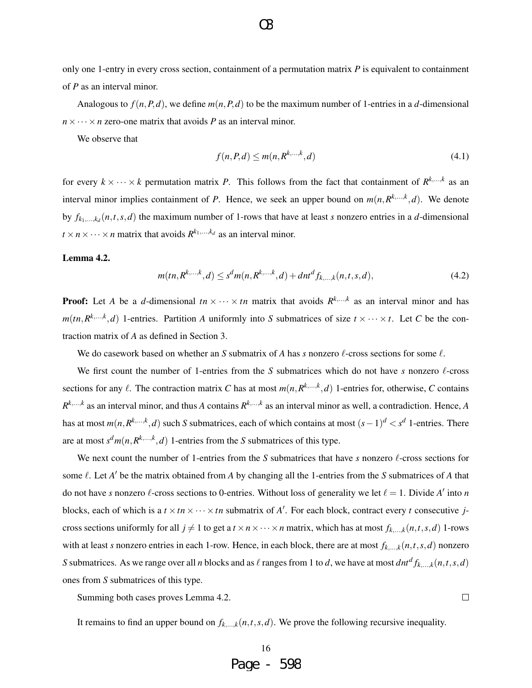only one 1-entry in every cross section, containment of a permutation matrix *P* is equivalent to containment of *P* as an interval minor.

Analogous to  $f(n, P, d)$ , we define  $m(n, P, d)$  to be the maximum number of 1-entries in a *d*-dimensional  $n \times \cdots \times n$  zero-one matrix that avoids *P* as an interval minor.

We observe that

$$
f(n, P, d) \le m(n, R^{k, \dots, k}, d) \tag{4.1}
$$

for every  $k \times \cdots \times k$  permutation matrix *P*. This follows from the fact that containment of  $R^{k,\dots,k}$  as an interval minor implies containment of *P*. Hence, we seek an upper bound on  $m(n, R^{k, \ldots, k}, d)$ . We denote by  $f_{k_1,...,k_d}(n,t,s,d)$  the maximum number of 1-rows that have at least *s* nonzero entries in a *d*-dimensional  $t \times n \times \cdots \times n$  matrix that avoids  $R^{k_1,\ldots,k_d}$  as an interval minor.

### Lemma 4.2.

$$
m(tn, R^{k,\dots,k}, d) \le s^d m(n, R^{k,\dots,k}, d) + dnt^d f_{k,\dots,k}(n, t, s, d),
$$
\n(4.2)

**Proof:** Let *A* be a *d*-dimensional  $tn \times \cdots \times tn$  matrix that avoids  $R^{k,\dots,k}$  as an interval minor and has  $m(tn, R^{k,...,k}, d)$  1-entries. Partition *A* uniformly into *S* submatrices of size  $t \times \cdots \times t$ . Let *C* be the contraction matrix of *A* as defined in Section 3.

We do casework based on whether an *S* submatrix of *A* has *s* nonzero  $\ell$ -cross sections for some  $\ell$ .

We first count the number of 1-entries from the *S* submatrices which do not have *s* nonzero  $\ell$ -cross sections for any  $\ell$ . The contraction matrix *C* has at most  $m(n, R^{k,...,k}, d)$  1-entries for, otherwise, *C* contains  $R^{k,...,k}$  as an interval minor, and thus *A* contains  $R^{k,...,k}$  as an interval minor as well, a contradiction. Hence, *A* has at most  $m(n, R^{k,...,k}, d)$  such *S* submatrices, each of which contains at most  $(s-1)^d < s^d$  1-entries. There are at most  $s^d m(n, R^{k, \ldots, k}, d)$  1-entries from the *S* submatrices of this type.

We next count the number of 1-entries from the *S* submatrices that have *s* nonzero  $\ell$ -cross sections for some  $\ell$ . Let  $A'$  be the matrix obtained from  $A$  by changing all the 1-entries from the  $S$  submatrices of  $A$  that do not have *s* nonzero  $\ell$ -cross sections to 0-entries. Without loss of generality we let  $\ell = 1$ . Divide *A'* into *n* blocks, each of which is a  $t \times tn \times \cdots \times tn$  submatrix of *A'*. For each block, contract every *t* consecutive *j*cross sections uniformly for all  $j \neq 1$  to get a  $t \times n \times \cdots \times n$  matrix, which has at most  $f_{k,\ldots,k}(n,t,s,d)$  1-rows with at least *s* nonzero entries in each 1-row. Hence, in each block, there are at most  $f_{k,\dots,k}(n,t,s,d)$  nonzero *S* submatrices. As we range over all *n* blocks and as  $\ell$  ranges from 1 to *d*, we have at most  $dnt^d f_{k,...,k}(n,t,s,d)$ ones from *S* submatrices of this type.

Summing both cases proves Lemma 4.2.

It remains to find an upper bound on  $f_{k,\dots,k}(n,t,s,d)$ . We prove the following recursive inequality.

 $\Box$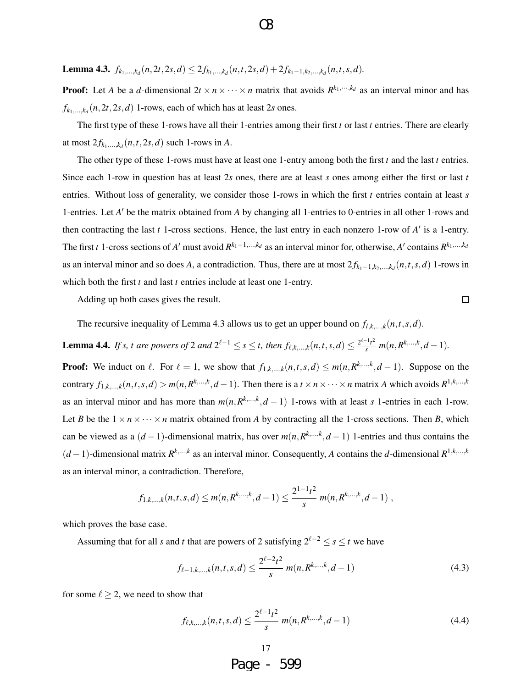**Lemma 4.3.**  $f_{k_1,...,k_d}(n, 2t, 2s, d) \leq 2f_{k_1,...,k_d}(n, t, 2s, d) + 2f_{k_1-1,k_2,...,k_d}(n, t, s, d).$ 

**Proof:** Let *A* be a *d*-dimensional  $2t \times n \times \cdots \times n$  matrix that avoids  $R^{k_1, \dots, k_d}$  as an interval minor and has  $f_{k_1,\ldots,k_d}(n,2t,2s,d)$  1-rows, each of which has at least 2*s* ones.

The first type of these 1-rows have all their 1-entries among their first *t* or last *t* entries. There are clearly at most  $2f_{k_1,\ldots,k_d}(n,t,2s,d)$  such 1-rows in *A*.

The other type of these 1-rows must have at least one 1-entry among both the first *t* and the last *t* entries. Since each 1-row in question has at least 2*s* ones, there are at least *s* ones among either the first or last *t* entries. Without loss of generality, we consider those 1-rows in which the first *t* entries contain at least *s* 1-entries. Let *A'* be the matrix obtained from *A* by changing all 1-entries to 0-entries in all other 1-rows and then contracting the last  $t$  1-cross sections. Hence, the last entry in each nonzero 1-row of  $A'$  is a 1-entry. The first *t* 1-cross sections of *A'* must avoid  $R^{k_1-1,...,k_d}$  as an interval minor for, otherwise, *A'* contains  $R^{k_1,...,k_d}$ as an interval minor and so does *A*, a contradiction. Thus, there are at most  $2f_{k_1-1,k_2,...,k_d}(n,t,s,d)$  1-rows in which both the first *t* and last *t* entries include at least one 1-entry.

Adding up both cases gives the result.

 $\Box$ 

The recursive inequality of Lemma 4.3 allows us to get an upper bound on  $f_{l,k,\dots,k}(n,t,s,d)$ .

**Lemma 4.4.** If s, t are powers of 2 and  $2^{\ell-1} \le s \le t$ , then  $f_{\ell,k,...,k}(n,t,s,d) \le \frac{2^{\ell-1}t^2}{s} m(n,R^{k,...,k},d-1)$ .

**Proof:** We induct on  $\ell$ . For  $\ell = 1$ , we show that  $f_{1,k,\dots,k}(n,t,s,d) \leq m(n,R^{k,\dots,k},d-1)$ . Suppose on the contrary  $f_{1,k,\dots,k}(n,t,s,d) > m(n,R^{k,\dots,k},d-1)$ . Then there is a  $t \times n \times \dots \times n$  matrix A which avoids  $R^{1,k,\dots,k}$ as an interval minor and has more than  $m(n, R^{k, \ldots, k}, d - 1)$  1-rows with at least *s* 1-entries in each 1-row. Let *B* be the  $1 \times n \times \cdots \times n$  matrix obtained from *A* by contracting all the 1-cross sections. Then *B*, which can be viewed as a  $(d-1)$ -dimensional matrix, has over  $m(n, R^{k, \ldots, k}, d-1)$  1-entries and thus contains the  $(d-1)$ -dimensional matrix  $R^{k,\dots,k}$  as an interval minor. Consequently, *A* contains the *d*-dimensional  $R^{1,k,\dots,k}$ as an interval minor, a contradiction. Therefore,

$$
f_{1,k,...,k}(n,t,s,d) \le m(n,R^{k,...,k},d-1) \le \frac{2^{1-1}t^2}{s} m(n,R^{k,...,k},d-1)
$$
,

which proves the base case.

Assuming that for all *s* and *t* that are powers of 2 satisfying  $2^{\ell-2} \le s \le t$  we have

$$
f_{\ell-1,k,\dots,k}(n,t,s,d) \le \frac{2^{\ell-2}t^2}{s} \, m(n, R^{k,\dots,k}, d-1) \tag{4.3}
$$

for some  $\ell \geq 2$ , we need to show that

$$
f_{\ell,k,\dots,k}(n,t,s,d) \le \frac{2^{\ell-1}t^2}{s} \, m(n,R^{k,\dots,k},d-1) \tag{4.4}
$$

$$
\begin{array}{r}\n 17 \\
\text{Page} - 599\n \end{array}
$$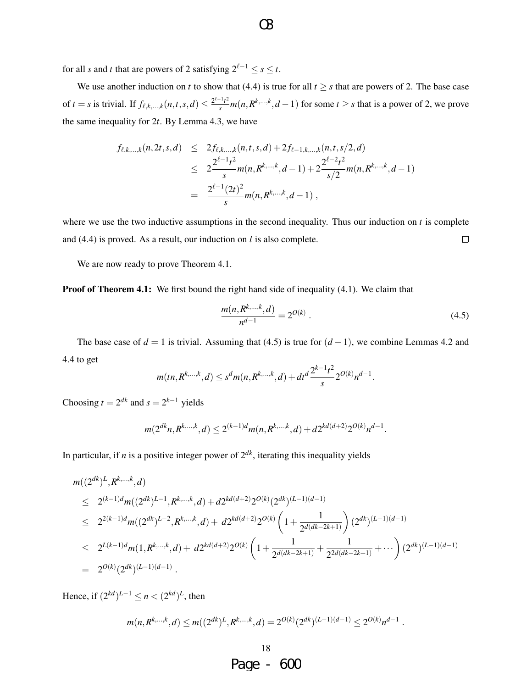for all *s* and *t* that are powers of 2 satisfying  $2^{\ell-1} \le s \le t$ .

We use another induction on *t* to show that (4.4) is true for all  $t \geq s$  that are powers of 2. The base case of  $t = s$  is trivial. If  $f_{\ell,k,...,k}(n,t,s,d) \leq \frac{2^{\ell-1}t^2}{s} m(n,R^{k,...,k},d-1)$  for some  $t \geq s$  that is a power of 2, we prove the same inequality for 2*t*. By Lemma 4.3, we have

$$
f_{\ell,k,\ldots,k}(n,2t,s,d) \leq 2f_{\ell,k,\ldots,k}(n,t,s,d) + 2f_{\ell-1,k,\ldots,k}(n,t,s/2,d)
$$
  

$$
\leq 2\frac{2^{\ell-1}t^2}{s}m(n,R^{k,\ldots,k},d-1) + 2\frac{2^{\ell-2}t^2}{s/2}m(n,R^{k,\ldots,k},d-1)
$$
  

$$
= \frac{2^{\ell-1}(2t)^2}{s}m(n,R^{k,\ldots,k},d-1),
$$

where we use the two inductive assumptions in the second inequality. Thus our induction on *t* is complete  $\Box$ and (4.4) is proved. As a result, our induction on *l* is also complete.

We are now ready to prove Theorem 4.1.

**Proof of Theorem 4.1:** We first bound the right hand side of inequality (4.1). We claim that

$$
\frac{m(n, R^{k,\ldots,k}, d)}{n^{d-1}} = 2^{O(k)}.
$$
\n(4.5)

The base case of  $d = 1$  is trivial. Assuming that (4.5) is true for  $(d-1)$ , we combine Lemmas 4.2 and 4.4 to get

$$
m(tn, R^{k,\ldots,k}, d) \le s^d m(n, R^{k,\ldots,k}, d) + dt^d \frac{2^{k-1}t^2}{s} 2^{O(k)} n^{d-1}.
$$

Choosing  $t = 2^{dk}$  and  $s = 2^{k-1}$  yields

$$
m(2^{dk}n, R^{k,\ldots,k}, d) \le 2^{(k-1)d} m(n, R^{k,\ldots,k}, d) + d2^{kd(d+2)} 2^{O(k)} n^{d-1}.
$$

In particular, if *n* is a positive integer power of  $2^{dk}$ , iterating this inequality yields

$$
m((2^{dk})^L, R^{k,...,k}, d)
$$
  
\n
$$
\leq 2^{(k-1)d} m((2^{dk})^{L-1}, R^{k,...,k}, d) + d2^{kd(d+2)} 2^{O(k)} (2^{dk})^{(L-1)(d-1)}
$$
  
\n
$$
\leq 2^{2(k-1)d} m((2^{dk})^{L-2}, R^{k,...,k}, d) + d2^{kd(d+2)} 2^{O(k)} \left(1 + \frac{1}{2^{d(dk-2k+1)}}\right) (2^{dk})^{(L-1)(d-1)}
$$
  
\n
$$
\leq 2^{L(k-1)d} m(1, R^{k,...,k}, d) + d2^{kd(d+2)} 2^{O(k)} \left(1 + \frac{1}{2^{d(dk-2k+1)}} + \frac{1}{2^{2d(dk-2k+1)}} + \cdots\right) (2^{dk})^{(L-1)(d-1)}
$$
  
\n
$$
= 2^{O(k)} (2^{dk})^{(L-1)(d-1)}.
$$

Hence, if  $(2^{kd})^{L-1} \le n < (2^{kd})^L$ , then

$$
m(n, R^{k,...,k}, d) \le m((2^{dk})^L, R^{k,...,k}, d) = 2^{O(k)} (2^{dk})^{(L-1)(d-1)} \le 2^{O(k)} n^{d-1}.
$$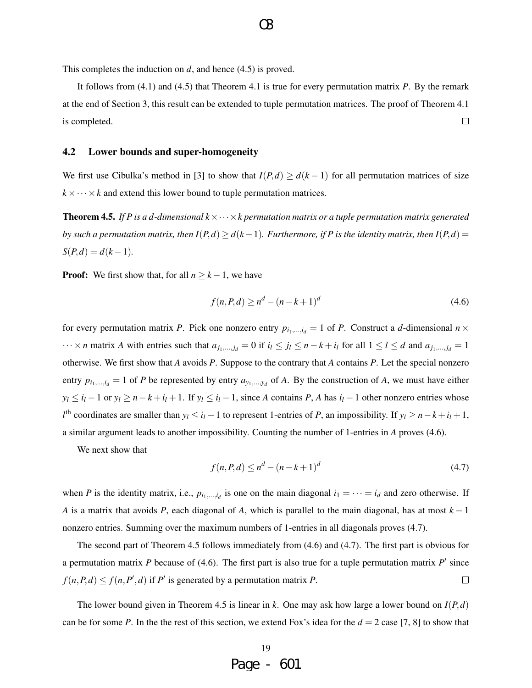This completes the induction on *d*, and hence (4.5) is proved.

It follows from (4.1) and (4.5) that Theorem 4.1 is true for every permutation matrix *P*. By the remark at the end of Section 3, this result can be extended to tuple permutation matrices. The proof of Theorem 4.1 is completed.  $\Box$ 

### 4.2 Lower bounds and super-homogeneity

We first use Cibulka's method in [3] to show that  $I(P,d) \geq d(k-1)$  for all permutation matrices of size  $k \times \cdots \times k$  and extend this lower bound to tuple permutation matrices.

**Theorem 4.5.** *If P is a d-dimensional*  $k \times \cdots \times k$  *permutation matrix or a tuple permutation matrix generated by such a permutation matrix, then*  $I(P,d) \geq d(k-1)$ *. Furthermore, if* P is the identity matrix, then  $I(P,d)$  =  $S(P,d) = d(k-1)$ .

**Proof:** We first show that, for all  $n \geq k - 1$ , we have

$$
f(n, P, d) \ge n^d - (n - k + 1)^d \tag{4.6}
$$

for every permutation matrix *P*. Pick one nonzero entry  $p_{i_1,\dots,i_d} = 1$  of *P*. Construct a *d*-dimensional  $n \times$  $\cdots \times n$  matrix A with entries such that  $a_{j_1,...,j_d} = 0$  if  $i_l \le j_l \le n - k + i_l$  for all  $1 \le l \le d$  and  $a_{j_1,...,j_d} = 1$ otherwise. We first show that *A* avoids *P*. Suppose to the contrary that *A* contains *P*. Let the special nonzero entry  $p_{i_1,...,i_d} = 1$  of *P* be represented by entry  $a_{y_1,...,y_d}$  of *A*. By the construction of *A*, we must have either  $y_l \le i_l - 1$  or  $y_l \ge n - k + i_l + 1$ . If  $y_l \le i_l - 1$ , since A contains P, A has  $i_l - 1$  other nonzero entries whose  $l^{\text{th}}$  coordinates are smaller than  $y_l \le i_l - 1$  to represent 1-entries of *P*, an impossibility. If  $y_l \ge n - k + i_l + 1$ , a similar argument leads to another impossibility. Counting the number of 1-entries in *A* proves (4.6).

We next show that

$$
f(n, P, d) \le n^d - (n - k + 1)^d \tag{4.7}
$$

when *P* is the identity matrix, i.e.,  $p_{i_1,...,i_d}$  is one on the main diagonal  $i_1 = \cdots = i_d$  and zero otherwise. If *A* is a matrix that avoids *P*, each diagonal of *A*, which is parallel to the main diagonal, has at most *k* − 1 nonzero entries. Summing over the maximum numbers of 1-entries in all diagonals proves (4.7).

The second part of Theorem 4.5 follows immediately from (4.6) and (4.7). The first part is obvious for a permutation matrix  $P$  because of (4.6). The first part is also true for a tuple permutation matrix  $P'$  since  $f(n, P, d) \le f(n, P', d)$  if *P*<sup>*i*</sup> is generated by a permutation matrix *P*.  $\Box$ 

The lower bound given in Theorem 4.5 is linear in *k*. One may ask how large a lower bound on *I*(*P*,*d*) can be for some *P*. In the the rest of this section, we extend Fox's idea for the  $d = 2$  case [7, 8] to show that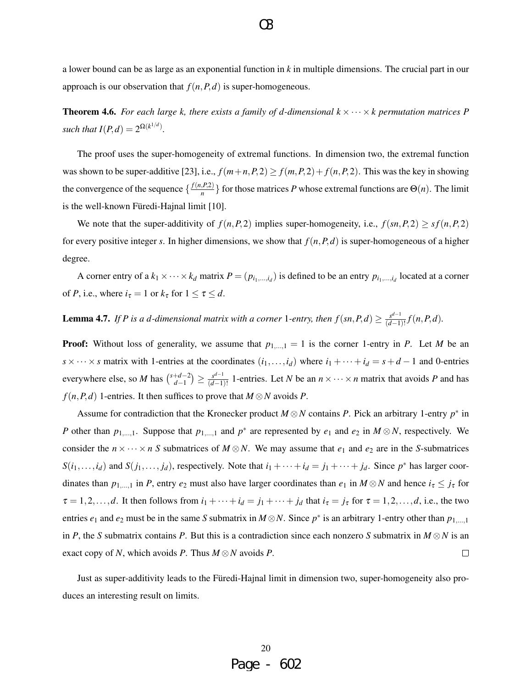**Theorem 4.6.** For each large k, there exists a family of d-dimensional  $k \times \cdots \times k$  permutation matrices P *such that*  $I(P,d) = 2^{\Omega(k^{1/d})}$ *.* 

The proof uses the super-homogeneity of extremal functions. In dimension two, the extremal function was shown to be super-additive [23], i.e.,  $f(m+n, P, 2) \ge f(m, P, 2) + f(n, P, 2)$ . This was the key in showing the convergence of the sequence  $\left\{\frac{f(n, P, 2)}{n}\right\}$  $\left\{\frac{P(z)}{n}\right\}$  for those matrices *P* whose extremal functions are  $\Theta(n)$ . The limit is the well-known Füredi-Hajnal limit [10].

We note that the super-additivity of  $f(n, P, 2)$  implies super-homogeneity, i.e.,  $f(sn, P, 2) \ge sf(n, P, 2)$ for every positive integer *s*. In higher dimensions, we show that  $f(n, P, d)$  is super-homogeneous of a higher degree.

A corner entry of a  $k_1 \times \cdots \times k_d$  matrix  $P = (p_{i_1,\dots,i_d})$  is defined to be an entry  $p_{i_1,\dots,i_d}$  located at a corner of *P*, i.e., where  $i_\tau = 1$  or  $k_\tau$  for  $1 \le \tau \le d$ .

**Lemma 4.7.** If P is a d-dimensional matrix with a corner 1-entry, then  $f(sn, P, d) \geq \frac{s^{d-1}}{(d-1)}$  $\frac{s^{a-1}}{(d-1)!} f(n, P, d)$ *.* 

**Proof:** Without loss of generality, we assume that  $p_{1,\dots,1} = 1$  is the corner 1-entry in *P*. Let *M* be an *s* × ··· × *s* matrix with 1-entries at the coordinates  $(i_1, \ldots, i_d)$  where  $i_1 + \cdots + i_d = s + d - 1$  and 0-entries everywhere else, so *M* has  $\binom{s+d-2}{d-1}$  $\binom{+d-2}{d-1}$  ≥  $\frac{s^{d-1}}{(d-1)}$  $\frac{d^{d-1}}{(d-1)!}$  1-entries. Let *N* be an  $n \times \cdots \times n$  matrix that avoids *P* and has  $f(n, P, d)$  1-entries. It then suffices to prove that  $M \otimes N$  avoids *P*.

Assume for contradiction that the Kronecker product  $M \otimes N$  contains *P*. Pick an arbitrary 1-entry  $p^*$  in *P* other than  $p_{1,...,1}$ . Suppose that  $p_{1,...,1}$  and  $p^*$  are represented by  $e_1$  and  $e_2$  in  $M \otimes N$ , respectively. We consider the  $n \times \cdots \times n$  S submatrices of  $M \otimes N$ . We may assume that  $e_1$  and  $e_2$  are in the S-submatrices  $S(i_1,...,i_d)$  and  $S(j_1,...,j_d)$ , respectively. Note that  $i_1 + \cdots + i_d = j_1 + \cdots + j_d$ . Since  $p^*$  has larger coordinates than  $p_{1,...,1}$  in *P*, entry  $e_2$  must also have larger coordinates than  $e_1$  in  $M \otimes N$  and hence  $i_\tau \leq j_\tau$  for  $\tau = 1, 2, \ldots, d$ . It then follows from  $i_1 + \cdots + i_d = j_1 + \cdots + j_d$  that  $i_\tau = j_\tau$  for  $\tau = 1, 2, \ldots, d$ , i.e., the two entries  $e_1$  and  $e_2$  must be in the same *S* submatrix in  $M \otimes N$ . Since  $p^*$  is an arbitrary 1-entry other than  $p_{1,\dots,1}$ in *P*, the *S* submatrix contains *P*. But this is a contradiction since each nonzero *S* submatrix in  $M \otimes N$  is an exact copy of *N*, which avoids *P*. Thus *M* ⊗*N* avoids *P*.  $\Box$ 

Just as super-additivity leads to the Füredi-Hajnal limit in dimension two, super-homogeneity also produces an interesting result on limits.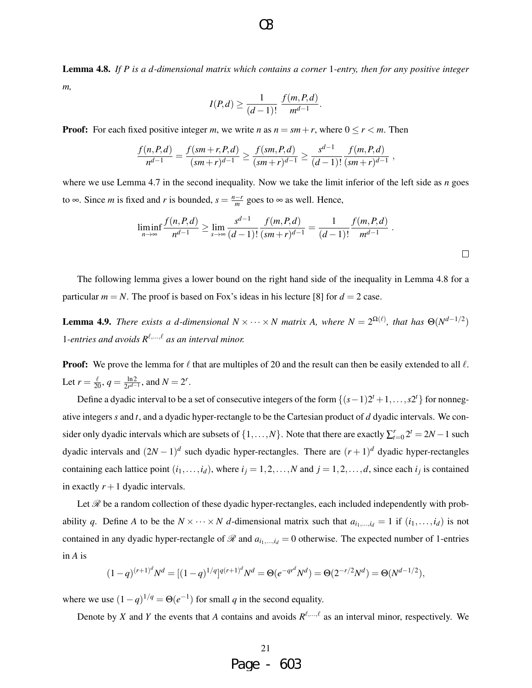Lemma 4.8. *If P is a d-dimensional matrix which contains a corner* 1*-entry, then for any positive integer m,*

$$
I(P,d) \ge \frac{1}{(d-1)!} \frac{f(m,P,d)}{m^{d-1}}.
$$

**Proof:** For each fixed positive integer *m*, we write *n* as  $n = sm + r$ , where  $0 \le r < m$ . Then

$$
\frac{f(n, P, d)}{n^{d-1}} = \frac{f(sm + r, P, d)}{(sm + r)^{d-1}} \ge \frac{f(sm, P, d)}{(sm + r)^{d-1}} \ge \frac{s^{d-1}}{(d-1)!} \frac{f(m, P, d)}{(sm + r)^{d-1}},
$$

where we use Lemma 4.7 in the second inequality. Now we take the limit inferior of the left side as *n* goes to  $\infty$ . Since *m* is fixed and *r* is bounded,  $s = \frac{n-r}{m}$  $\frac{-r}{m}$  goes to  $\infty$  as well. Hence,

$$
\liminf_{n \to \infty} \frac{f(n, P, d)}{n^{d-1}} \ge \lim_{s \to \infty} \frac{s^{d-1}}{(d-1)!} \frac{f(m, P, d)}{(sm+r)^{d-1}} = \frac{1}{(d-1)!} \frac{f(m, P, d)}{m^{d-1}}.
$$

The following lemma gives a lower bound on the right hand side of the inequality in Lemma 4.8 for a particular  $m = N$ . The proof is based on Fox's ideas in his lecture [8] for  $d = 2$  case.

**Lemma 4.9.** *There exists a d-dimensional*  $N \times \cdots \times N$  *matrix A, where*  $N = 2^{\Omega(\ell)}$ *, that has*  $\Theta(N^{d-1/2})$ 1-entries and avoids  $R^{\ell,...,\ell}$  as an interval minor.

**Proof:** We prove the lemma for  $\ell$  that are multiples of 20 and the result can then be easily extended to all  $\ell$ . Let  $r = \frac{\ell}{20}, q = \frac{\ln 2}{2r^{d-1}}$  $\frac{\ln 2}{2r^{d-1}}$ , and  $N = 2^r$ .

Define a dyadic interval to be a set of consecutive integers of the form  $\{(s-1)2^t + 1, \ldots, s2^t\}$  for nonnegative integers *s* and *t*, and a dyadic hyper-rectangle to be the Cartesian product of *d* dyadic intervals. We consider only dyadic intervals which are subsets of  $\{1, \ldots, N\}$ . Note that there are exactly  $\sum_{t=0}^{r} 2^t = 2N - 1$  such dyadic intervals and  $(2N-1)^d$  such dyadic hyper-rectangles. There are  $(r+1)^d$  dyadic hyper-rectangles containing each lattice point  $(i_1, \ldots, i_d)$ , where  $i_j = 1, 2, \ldots, N$  and  $j = 1, 2, \ldots, d$ , since each  $i_j$  is contained in exactly  $r + 1$  dyadic intervals.

Let  $\mathcal R$  be a random collection of these dyadic hyper-rectangles, each included independently with probability *q*. Define *A* to be the  $N \times \cdots \times N$  *d*-dimensional matrix such that  $a_{i_1,\ldots,i_d} = 1$  if  $(i_1,\ldots,i_d)$  is not contained in any dyadic hyper-rectangle of  $\mathcal R$  and  $a_{i_1,\dots,i_d} = 0$  otherwise. The expected number of 1-entries in *A* is

$$
(1-q)^{(r+1)^d}N^d = [(1-q)^{1/q}]^{q(r+1)^d}N^d = \Theta(e^{-qr^d}N^d) = \Theta(2^{-r/2}N^d) = \Theta(N^{d-1/2}),
$$

where we use  $(1 - q)^{1/q} = \Theta(e^{-1})$  for small *q* in the second equality.

Denote by *X* and *Y* the events that *A* contains and avoids  $R^{\ell,...,\ell}$  as an interval minor, respectively. We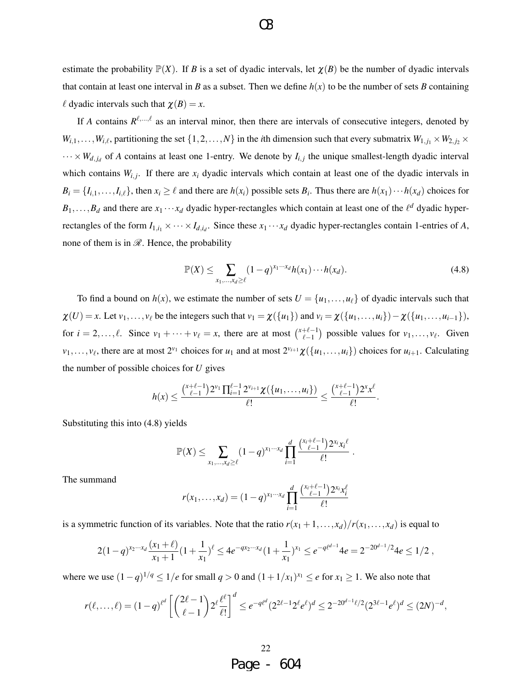estimate the probability  $\mathbb{P}(X)$ . If *B* is a set of dyadic intervals, let  $\chi(B)$  be the number of dyadic intervals that contain at least one interval in *B* as a subset. Then we define  $h(x)$  to be the number of sets *B* containing  $\ell$  dyadic intervals such that  $\chi(B) = x$ .

O3

If *A* contains  $R^{\ell,...,\ell}$  as an interval minor, then there are intervals of consecutive integers, denoted by  $W_{i,1}, \ldots, W_{i,\ell}$ , partitioning the set  $\{1,2,\ldots,N\}$  in the *i*th dimension such that every submatrix  $W_{1,j_1} \times W_{2,j_2} \times W_{2,j_3}$  $\cdots \times W_{d,j_d}$  of *A* contains at least one 1-entry. We denote by  $I_{i,j}$  the unique smallest-length dyadic interval which contains  $W_{i,j}$ . If there are  $x_i$  dyadic intervals which contain at least one of the dyadic intervals in  $B_i = \{I_{i,1}, \ldots, I_{i,\ell}\}\$ , then  $x_i \ge \ell$  and there are  $h(x_i)$  possible sets  $B_i$ . Thus there are  $h(x_1) \cdots h(x_d)$  choices for  $B_1, \ldots, B_d$  and there are  $x_1 \cdots x_d$  dyadic hyper-rectangles which contain at least one of the  $\ell^d$  dyadic hyperrectangles of the form  $I_{1,i_1} \times \cdots \times I_{d,i_d}$ . Since these  $x_1 \cdots x_d$  dyadic hyper-rectangles contain 1-entries of *A*, none of them is in  $\mathcal{R}$ . Hence, the probability

$$
\mathbb{P}(X) \leq \sum_{x_1,\ldots,x_d \geq \ell} (1-q)^{x_1\cdots x_d} h(x_1) \cdots h(x_d). \tag{4.8}
$$

.

To find a bound on  $h(x)$ , we estimate the number of sets  $U = \{u_1, \ldots, u_\ell\}$  of dyadic intervals such that  $\chi(U) = x$ . Let  $v_1, \ldots, v_\ell$  be the integers such that  $v_1 = \chi(\{u_1\})$  and  $v_i = \chi(\{u_1, \ldots, u_i\}) - \chi(\{u_1, \ldots, u_{i-1}\}),$ for  $i = 2,..., \ell$ . Since  $v_1 + \cdots + v_\ell = x$ , there are at most  $\binom{x+\ell-1}{\ell-1}$  $\binom{+ \ell - 1}{\ell - 1}$  possible values for  $v_1, \ldots, v_\ell$ . Given  $v_1, \ldots, v_\ell$ , there are at most  $2^{v_1}$  choices for  $u_1$  and at most  $2^{v_{i+1}}\chi(\{u_1, \ldots, u_i\})$  choices for  $u_{i+1}$ . Calculating the number of possible choices for *U* gives

$$
h(x) \leq \frac{\binom{x+\ell-1}{\ell-1}2^{\nu_1}\prod_{i=1}^{\ell-1}2^{\nu_{i+1}}\chi(\{u_1,\ldots,u_i\})}{\ell!} \leq \frac{\binom{x+\ell-1}{\ell-1}2^x x^{\ell}}{\ell!}.
$$

Substituting this into (4.8) yields

$$
\mathbb{P}(X) \leq \sum_{x_1, ..., x_d \geq \ell} (1-q)^{x_1 \cdots x_d} \prod_{i=1}^d \frac{\binom{x_i + \ell - 1}{\ell - 1} 2^{x_i} x_i^{\ell}}{\ell!}
$$

The summand

$$
r(x_1,...,x_d)=(1-q)^{x_1\cdots x_d}\prod_{i=1}^d\frac{\binom{x_i+\ell-1}{\ell-1}2^{x_i}x_i^{\ell}}{\ell!}
$$

is a symmetric function of its variables. Note that the ratio  $r(x_1 + 1, \ldots, x_d)/r(x_1, \ldots, x_d)$  is equal to

$$
2(1-q)^{x_2\cdots x_d}\frac{(x_1+\ell)}{x_1+1}(1+\frac{1}{x_1})^{\ell} \le 4e^{-qx_2\cdots x_d}(1+\frac{1}{x_1})^{x_1} \le e^{-q\ell^{d-1}}4e = 2^{-20^{d-1}/2}4e \le 1/2,
$$

where we use  $(1-q)^{1/q} \le 1/e$  for small  $q > 0$  and  $(1+1/x_1)^{x_1} \le e$  for  $x_1 \ge 1$ . We also note that

$$
r(\ell,\ldots,\ell)=(1-q)^{\ell^d}\left[\binom{2\ell-1}{\ell-1}2^{\ell}\frac{\ell^{\ell}}{\ell!}\right]^d\leq e^{-q\ell^d}(2^{2\ell-1}2^{\ell}e^{\ell})^d\leq 2^{-20^{d-1}\ell/2}(2^{3\ell-1}e^{\ell})^d\leq (2N)^{-d},
$$

Page - 604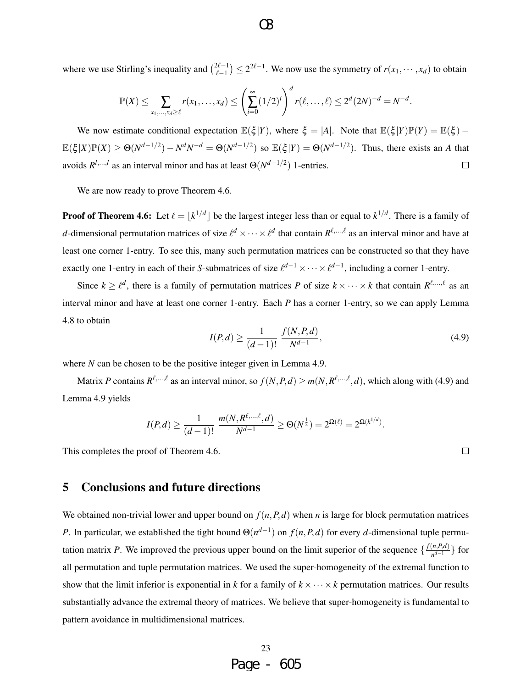where we use Stirling's inequality and  $\binom{2\ell-1}{\ell-1}$  $\mathbb{R}_{\ell-1}^{2\ell-1}$  ≥  $2^{2\ell-1}$ . We now use the symmetry of *r*(*x*<sub>1</sub>, ···, *x<sub>d</sub>*) to obtain

$$
\mathbb{P}(X) \leq \sum_{x_1, ..., x_d \geq \ell} r(x_1, ..., x_d) \leq \left(\sum_{i=0}^{\infty} (1/2)^i\right)^d r(\ell, ..., \ell) \leq 2^d (2N)^{-d} = N^{-d}.
$$

We now estimate conditional expectation  $\mathbb{E}(\xi|Y)$ , where  $\xi = |A|$ . Note that  $\mathbb{E}(\xi|Y)\mathbb{P}(Y) = \mathbb{E}(\xi) \mathbb{E}(\xi|X)\mathbb{P}(X) \ge \Theta(N^{d-1/2}) - N^dN^{-d} = \Theta(N^{d-1/2})$  so  $\mathbb{E}(\xi|Y) = \Theta(N^{d-1/2})$ . Thus, there exists an *A* that avoids  $R^{l,...,l}$  as an interval minor and has at least  $\Theta(N^{d-1/2})$  1-entries.  $\Box$ 

We are now ready to prove Theorem 4.6.

**Proof of Theorem 4.6:** Let  $\ell = |k^{1/d}|$  be the largest integer less than or equal to  $k^{1/d}$ . There is a family of *d*-dimensional permutation matrices of size  $\ell^d \times \cdots \times \ell^d$  that contain  $R^{\ell,...,\ell}$  as an interval minor and have at least one corner 1-entry. To see this, many such permutation matrices can be constructed so that they have exactly one 1-entry in each of their *S*-submatrices of size  $\ell^{d-1} \times \cdots \times \ell^{d-1}$ , including a corner 1-entry.

Since  $k \geq \ell^d$ , there is a family of permutation matrices *P* of size  $k \times \cdots \times k$  that contain  $R^{\ell,\dots,\ell}$  as an interval minor and have at least one corner 1-entry. Each *P* has a corner 1-entry, so we can apply Lemma 4.8 to obtain

$$
I(P,d) \ge \frac{1}{(d-1)!} \frac{f(N,P,d)}{N^{d-1}},
$$
\n(4.9)

 $\Box$ 

where *N* can be chosen to be the positive integer given in Lemma 4.9.

Matrix *P* contains  $R^{\ell,...,\ell}$  as an interval minor, so  $f(N,P,d) \ge m(N,R^{\ell,...,\ell},d)$ , which along with (4.9) and Lemma 4.9 yields

$$
I(P,d) \ge \frac{1}{(d-1)!} \frac{m(N, R^{\ell, \dots, \ell}, d)}{N^{d-1}} \ge \Theta(N^{\frac{1}{2}}) = 2^{\Omega(\ell)} = 2^{\Omega(k^{1/d})}.
$$

This completes the proof of Theorem 4.6.

5 Conclusions and future directions

We obtained non-trivial lower and upper bound on  $f(n, P, d)$  when *n* is large for block permutation matrices *P*. In particular, we established the tight bound  $\Theta(n^{d-1})$  on  $f(n, P, d)$  for every *d*-dimensional tuple permutation matrix *P*. We improved the previous upper bound on the limit superior of the sequence  $\{\frac{f(n, P, d)}{n^{d-1}}\}$ *n*<sup>*d*−1</sup> } for all permutation and tuple permutation matrices. We used the super-homogeneity of the extremal function to show that the limit inferior is exponential in *k* for a family of  $k \times \cdots \times k$  permutation matrices. Our results substantially advance the extremal theory of matrices. We believe that super-homogeneity is fundamental to pattern avoidance in multidimensional matrices.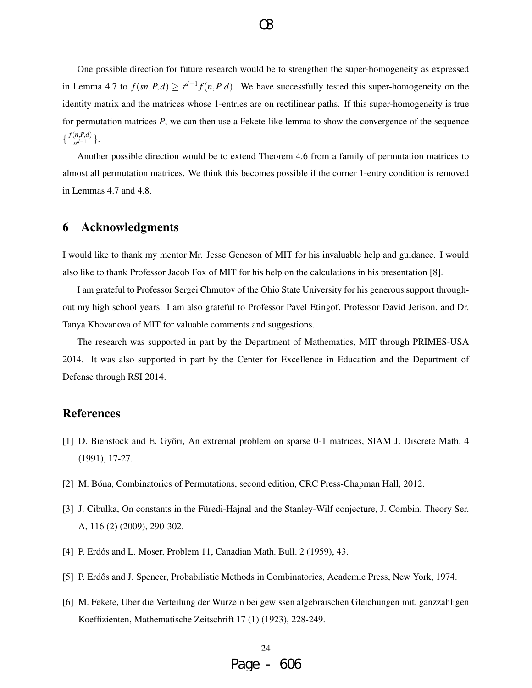One possible direction for future research would be to strengthen the super-homogeneity as expressed in Lemma 4.7 to  $f(sn, P, d) \geq s^{d-1} f(n, P, d)$ . We have successfully tested this super-homogeneity on the identity matrix and the matrices whose 1-entries are on rectilinear paths. If this super-homogeneity is true for permutation matrices *P*, we can then use a Fekete-like lemma to show the convergence of the sequence  $\frac{f(n, P, d)}{d}$  $\frac{(n,P,a)}{n^{d-1}}\}.$ 

Another possible direction would be to extend Theorem 4.6 from a family of permutation matrices to almost all permutation matrices. We think this becomes possible if the corner 1-entry condition is removed in Lemmas 4.7 and 4.8.

# 6 Acknowledgments

I would like to thank my mentor Mr. Jesse Geneson of MIT for his invaluable help and guidance. I would also like to thank Professor Jacob Fox of MIT for his help on the calculations in his presentation [8].

I am grateful to Professor Sergei Chmutov of the Ohio State University for his generous support throughout my high school years. I am also grateful to Professor Pavel Etingof, Professor David Jerison, and Dr. Tanya Khovanova of MIT for valuable comments and suggestions.

The research was supported in part by the Department of Mathematics, MIT through PRIMES-USA 2014. It was also supported in part by the Center for Excellence in Education and the Department of Defense through RSI 2014.

# References

- [1] D. Bienstock and E. Györi, An extremal problem on sparse 0-1 matrices, SIAM J. Discrete Math. 4 (1991), 17-27.
- [2] M. Bóna, Combinatorics of Permutations, second edition, CRC Press-Chapman Hall, 2012.
- [3] J. Cibulka, On constants in the Füredi-Hajnal and the Stanley-Wilf conjecture, J. Combin. Theory Ser. A, 116 (2) (2009), 290-302.
- [4] P. Erdős and L. Moser, Problem 11, Canadian Math. Bull. 2 (1959), 43.
- [5] P. Erdős and J. Spencer, Probabilistic Methods in Combinatorics, Academic Press, New York, 1974.
- [6] M. Fekete, Uber die Verteilung der Wurzeln bei gewissen algebraischen Gleichungen mit. ganzzahligen Koeffizienten, Mathematische Zeitschrift 17 (1) (1923), 228-249.

 $\Omega$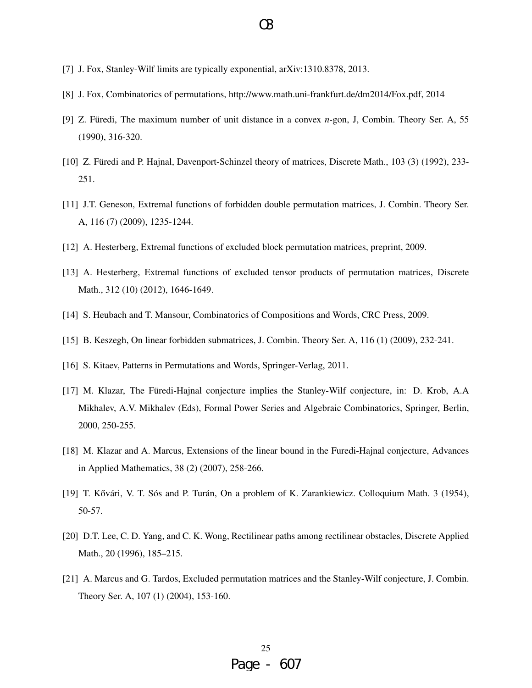- [7] J. Fox, Stanley-Wilf limits are typically exponential, arXiv:1310.8378, 2013.
- [8] J. Fox, Combinatorics of permutations, http://www.math.uni-frankfurt.de/dm2014/Fox.pdf, 2014
- [9] Z. Füredi, The maximum number of unit distance in a convex *n*-gon, J, Combin. Theory Ser. A, 55 (1990), 316-320.
- [10] Z. Füredi and P. Hajnal, Davenport-Schinzel theory of matrices, Discrete Math., 103 (3) (1992), 233-251.
- [11] J.T. Geneson, Extremal functions of forbidden double permutation matrices, J. Combin. Theory Ser. A, 116 (7) (2009), 1235-1244.
- [12] A. Hesterberg, Extremal functions of excluded block permutation matrices, preprint, 2009.
- [13] A. Hesterberg, Extremal functions of excluded tensor products of permutation matrices, Discrete Math., 312 (10) (2012), 1646-1649.
- [14] S. Heubach and T. Mansour, Combinatorics of Compositions and Words, CRC Press, 2009.
- [15] B. Keszegh, On linear forbidden submatrices, J. Combin. Theory Ser. A, 116 (1) (2009), 232-241.
- [16] S. Kitaev, Patterns in Permutations and Words, Springer-Verlag, 2011.
- [17] M. Klazar, The Füredi-Hajnal conjecture implies the Stanley-Wilf conjecture, in: D. Krob, A.A Mikhalev, A.V. Mikhalev (Eds), Formal Power Series and Algebraic Combinatorics, Springer, Berlin, 2000, 250-255.
- [18] M. Klazar and A. Marcus, Extensions of the linear bound in the Furedi-Hajnal conjecture, Advances in Applied Mathematics, 38 (2) (2007), 258-266.
- [19] T. Kővári, V. T. Sós and P. Turán, On a problem of K. Zarankiewicz. Colloquium Math. 3 (1954), 50-57.
- [20] D.T. Lee, C. D. Yang, and C. K. Wong, Rectilinear paths among rectilinear obstacles, Discrete Applied Math., 20 (1996), 185–215.
- [21] A. Marcus and G. Tardos, Excluded permutation matrices and the Stanley-Wilf conjecture, J. Combin. Theory Ser. A, 107 (1) (2004), 153-160.